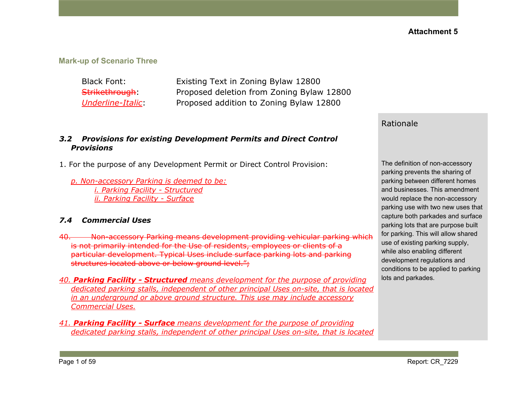#### **Mark-up of Scenario Three**

Black Font: Existing Text in Zoning Bylaw 12800 Strikethrough: Proposed deletion from Zoning Bylaw 12800 *Underline-Italic*: Proposed addition to Zoning Bylaw 12800

#### *3.2 Provisions for existing Development Permits and Direct Control Provisions*

- 1. For the purpose of any Development Permit or Direct Control Provision:
	- *p. Non-accessory Parking is deemed to be: i. Parking Facility - Structured ii. Parking Facility - Surface*

#### *7.4 Commercial Uses*

- 40. Non-accessory Parking means development providing vehicular parking which is not primarily intended for the Use of residents, employees or clients of a particular development. Typical Uses include surface parking lots and parking structures located above or below ground level.";
- *40. Parking Facility - Structured means development for the purpose of providing dedicated parking stalls, independent of other principal Uses on-site, that is located in an underground or above ground structure. This use may include accessory Commercial Uses.*
- *41. Parking Facility - Surface means development for the purpose of providing dedicated parking stalls, independent of other principal Uses on-site, that is located*

#### Rationale

The definition of non-accessory parking prevents the sharing of parking between different homes and businesses. This amendment would replace the non-accessory parking use with two new uses that capture both parkades and surface parking lots that are purpose built for parking. This will allow shared use of existing parking supply, while also enabling different development regulations and conditions to be applied to parking lots and parkades.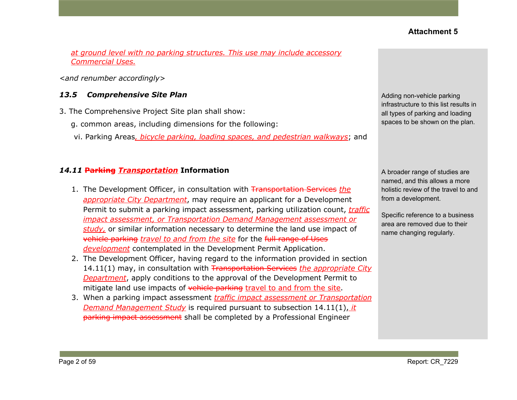*at ground level with no parking structures. This use may include accessory Commercial Uses.*

*<and renumber accordingly>*

#### *13.5 Comprehensive Site Plan*

- 3. The Comprehensive Project Site plan shall show:
	- g. common areas, including dimensions for the following:
	- vi. Parking Areas*, bicycle parking, loading spaces, and pedestrian walkways*; and

#### *14.11* **Parking** *Transportation* **Information**

- 1. The Development Officer, in consultation with Transportation Services *the appropriate City Department*, may require an applicant for a Development Permit to submit a parking impact assessment, parking utilization count, *traffic impact assessment, or Transportation Demand Management assessment or study,* or similar information necessary to determine the land use impact of vehicle parking *travel to and from the site* for the full range of Uses *development* contemplated in the Development Permit Application.
- 2. The Development Officer, having regard to the information provided in section 14.11(1) may, in consultation with Transportation Services *the appropriate City Department*, apply conditions to the approval of the Development Permit to mitigate land use impacts of vehicle parking travel to and from the site.
- 3. When a parking impact assessment *traffic impact assessment or Transportation Demand Management Study* is required pursuant to subsection 14.11(1), *it* parking impact assessment shall be completed by a Professional Engineer

Adding non-vehicle parking infrastructure to this list results in all types of parking and loading spaces to be shown on the plan.

A broader range of studies are named, and this allows a more holistic review of the travel to and from a development.

Specific reference to a business area are removed due to their name changing regularly.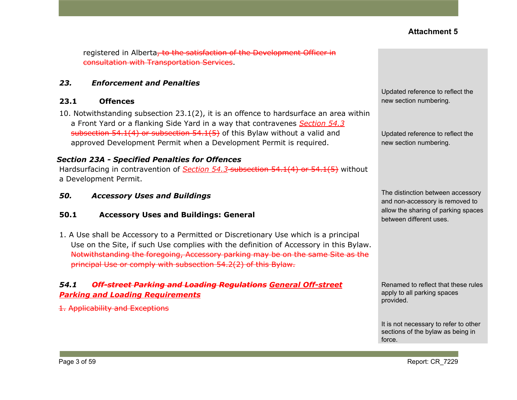registered in Alberta, to the satisfaction of the Development Officer in consultation with Transportation Services.

#### *23. Enforcement and Penalties*

#### **23.1 Offences**

10. Notwithstanding subsection 23.1(2), it is an offence to hardsurface an area within a Front Yard or a flanking Side Yard in a way that contravenes *Section 54.3* subsection 54.1(4) or subsection 54.1(5) of this Bylaw without a valid and approved Development Permit when a Development Permit is required.

#### *Section 23A - Specified Penalties for Offences*

Hardsurfacing in contravention of *Section 54.3* subsection 54.1(4) or 54.1(5) without a Development Permit.

*50. Accessory Uses and Buildings*

#### **50.1 Accessory Uses and Buildings: General**

1. A Use shall be Accessory to a Permitted or Discretionary Use which is a principal Use on the Site, if such Use complies with the definition of Accessory in this Bylaw. Notwithstanding the foregoing, Accessory parking may be on the same Site as the principal Use or comply with [subsection](https://webdocs.edmonton.ca/InfraPlan/zoningbylaw/ZoningBylaw/Part1/Development/54_2_Required_Off-street_Vehicular_Accessory_Parking.htm) 54.2(2) of this Bylaw.

## *54.1 Off-street Parking and Loading Regulations General Off-street Parking and Loading Requirements*

1. Applicability and Exceptions

Updated reference to reflect the new section numbering.

Updated reference to reflect the new section numbering.

The distinction between accessory and non-accessory is removed to allow the sharing of parking spaces between different uses.

Renamed to reflect that these rules apply to all parking spaces provided.

It is not necessary to refer to other sections of the bylaw as being in force.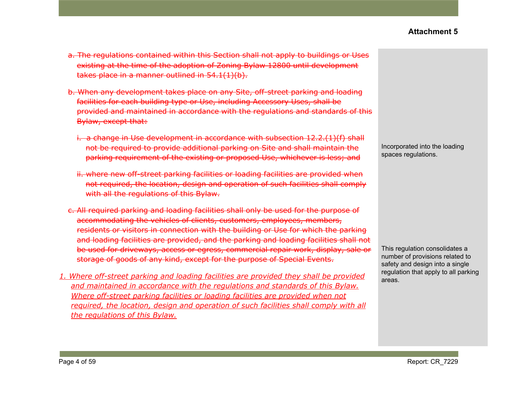- a. The regulations contained within this Section shall not apply to buildings or Uses existing at the time of the adoption of Zoning Bylaw 12800 until development takes place in a manner outlined in 54.1(1)(b).
- b. When any development takes place on any Site, off-street parking and loading facilities for each building type or Use, including Accessory Uses, shall be provided and maintained in accordance with the regulations and standards of this Bylaw, except that:
	- i. a change in Use development in accordance with subsection 12.2.(1)(f) shall not be required to provide additional parking on Site and shall maintain the parking requirement of the existing or proposed Use, whichever is less; and
	- ii. where new off-street parking facilities or loading facilities are provided when not required, the location, design and operation of such facilities shall comply with all the regulations of this Bylaw.
- c. All required parking and loading facilities shall only be used for the purpose of accommodating the vehicles of clients, customers, employees, members, residents or visitors in connection with the building or Use for which the parking and loading facilities are provided, and the parking and loading facilities shall not be used for driveways, access or egress, commercial repair work, display, sale or storage of goods of any kind, except for the purpose of Special Events.
- *1. Where off-street parking and loading facilities are provided they shall be provided and maintained in accordance with the regulations and standards of this Bylaw. Where off-street parking facilities or loading facilities are provided when not required, the location, design and operation of such facilities shall comply with all the regulations of this Bylaw.*

Incorporated into the loading spaces regulations.

This regulation consolidates a number of provisions related to safety and design into a single regulation that apply to all parking areas.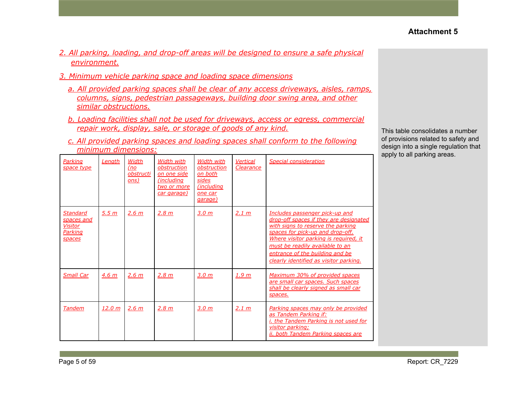- *2. All parking, loading, and drop-off areas will be designed to ensure a safe physical environment.*
- *3. Minimum vehicle parking space and loading space dimensions*
	- *a. All provided parking spaces shall be clear of any access driveways, aisles, ramps, columns, signs, pedestrian passageways, building door swing area, and other similar obstructions.*
	- *b. Loading facilities shall not be used for driveways, access or egress, commercial repair work, display, sale, or storage of goods of any kind.*
	- *c. All provided parking spaces and loading spaces shall conform to the following minimum dimensions:*

| Parking<br>space type                                                | Lenath           | Width<br>(no<br>obstructi<br>ons) | Width with<br>obstruction<br>on one side<br>(including<br>two or more<br>car garage) | Width with<br>obstruction<br>on both<br>sides<br><i>(including)</i><br>one car<br>garage) | <b>Vertical</b><br>Clearance | Special consideration                                                                                                                                                                                                                                                                                      |
|----------------------------------------------------------------------|------------------|-----------------------------------|--------------------------------------------------------------------------------------|-------------------------------------------------------------------------------------------|------------------------------|------------------------------------------------------------------------------------------------------------------------------------------------------------------------------------------------------------------------------------------------------------------------------------------------------------|
| <b>Standard</b><br><u>spaces and</u><br>Visitor<br>Parking<br>spaces | 5.5 <sub>m</sub> | 2.6 m                             | 2.8 m                                                                                | 3.0 m                                                                                     | 2.1 m                        | Includes passenger pick-up and<br>drop-off spaces if they are designated<br>with signs to reserve the parking<br>spaces for pick-up and drop-off.<br>Where visitor parking is required, it<br>must be readily available to an<br>entrance of the building and be<br>clearly identified as visitor parking. |
| <b>Small Car</b>                                                     | 4.6 <sub>m</sub> | 2.6 m                             | 2.8 m                                                                                | 3.0 <sub>m</sub>                                                                          | 1.9 m                        | Maximum 30% of provided spaces<br>are small car spaces. Such spaces<br>shall be clearly signed as small car<br>spaces.                                                                                                                                                                                     |
| <b>Tandem</b>                                                        | <u>12.0 m</u>    | 2.6 m                             | 2.8 m                                                                                | 3.0 <sub>m</sub>                                                                          | 2.1 m                        | Parking spaces may only be provided<br>as Tandem Parking if:<br><i>i. the Tandem Parking is not used for</i><br>visitor parking;<br>ii. both Tandem Parking spaces are                                                                                                                                     |

This table consolidates a number of provisions related to safety and design into a single regulation that apply to all parking areas.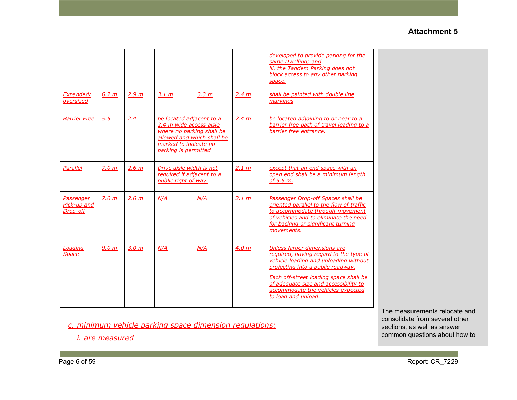|                                      |                  |                  |                                                                                                                                                                 |                  |                  | developed to provide parking for the<br>same Dwelling; and<br>iii. the Tandem Parking does not<br>block access to any other parking<br>space.                                                                                                                                                       |
|--------------------------------------|------------------|------------------|-----------------------------------------------------------------------------------------------------------------------------------------------------------------|------------------|------------------|-----------------------------------------------------------------------------------------------------------------------------------------------------------------------------------------------------------------------------------------------------------------------------------------------------|
| Expanded/<br>oversized               | 6.2 m            | 2.9 <sub>m</sub> | 3.1 m                                                                                                                                                           | 3.3 <sub>m</sub> | 2.4 m            | shall be painted with double line<br>markings                                                                                                                                                                                                                                                       |
| <b>Barrier Free</b>                  | 5.5              | 2.4              | be located adjacent to a<br>2.4 m wide access aisle<br>where no parking shall be<br>allowed and which shall be<br>marked to indicate no<br>parking is permitted |                  | 2.4 m            | be located adjoining to or near to a<br>barrier free path of travel leading to a<br>barrier free entrance.                                                                                                                                                                                          |
| Parallel                             | 7.0 m            | 2.6 m            | Drive aisle width is not<br>required if adjacent to a<br>public right of way.                                                                                   |                  | 2.1 m            | except that an end space with an<br>open end shall be a minimum length<br>of 5.5 m.                                                                                                                                                                                                                 |
| Passenger<br>Pick-up and<br>Drop-off | 7.0 <sub>m</sub> | 2.6 <sub>m</sub> | N/A                                                                                                                                                             | N/A              | 2.1 m            | Passenger Drop-off Spaces shall be<br>oriented parallel to the flow of traffic<br>to accommodate through-movement<br>of vehicles and to eliminate the need<br>for backing or significant turning<br>movements.                                                                                      |
| Loading<br><b>Space</b>              | 9.0 <sub>m</sub> | 3.0 <sub>m</sub> | N/A                                                                                                                                                             | N/A              | 4.0 <sub>m</sub> | Unless larger dimensions are<br>required, having regard to the type of<br>vehicle loading and unloading without<br>projecting into a public roadway.<br>Each off-street loading space shall be<br>of adequate size and accessibility to<br>accommodate the vehicles expected<br>to load and unload. |

*c. minimum vehicle parking space dimension regulations:*

*i. are measured*

The measurements relocate and consolidate from several other sections, as well as answer common questions about how to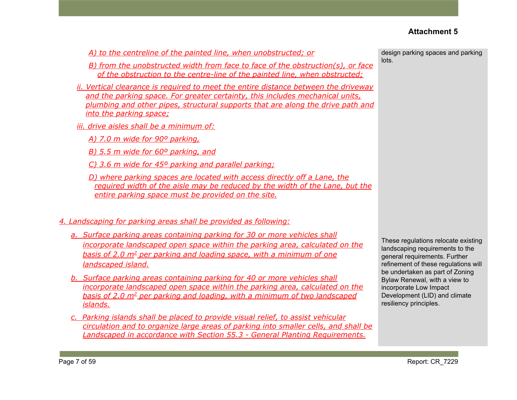*A) to the centreline of the painted line, when unobstructed; or*

- *B) from the unobstructed width from face to face of the obstruction(s), or face of the obstruction to the centre-line of the painted line, when obstructed;*
- *ii. Vertical clearance is required to meet the entire distance between the driveway and the parking space. For greater certainty, this includes mechanical units, plumbing and other pipes, structural supports that are along the drive path and into the parking space;*
- *iii. drive aisles shall be a minimum of:*
	- *A) 7.0 m wide for 90º parking,*
	- *B) 5.5 m wide for 60º parking, and*
	- *C) 3.6 m wide for 45º parking and parallel parking;*
	- *D) where parking spaces are located with access directly off a Lane, the required width of the aisle may be reduced by the width of the Lane, but the entire parking space must be provided on the site.*

#### *4. Landscaping for parking areas shall be provided as following:*

- *a. Surface parking areas containing parking for 30 or more vehicles shall incorporate landscaped open space within the parking area, calculated on the basis of 2.0 m<sup>2</sup> per parking and loading space, with a minimum of one landscaped island.*
- *b. Surface parking areas containing parking for 40 or more vehicles shall incorporate landscaped open space within the parking area, calculated on the basis of 2.0 m<sup>2</sup> per parking and loading, with a minimum of two landscaped islands.*
- *c. Parking islands shall be placed to provide visual relief, to assist vehicular circulation and to organize large areas of parking into smaller cells, and shall be Landscaped in accordance with Section 55.3 - General Planting Requirements.*

design parking spaces and parking lots.

These regulations relocate existing landscaping requirements to the general requirements. Further refinement of these regulations will be undertaken as part of Zoning Bylaw Renewal, with a view to incorporate Low Impact Development (LID) and climate resiliency principles.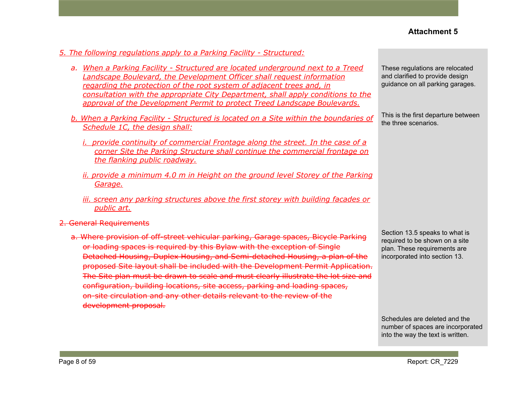#### *5. The following regulations apply to a Parking Facility - Structured:*

- *a. When a Parking Facility - Structured are located underground next to a Treed Landscape Boulevard, the Development Officer shall request information regarding the protection of the root system of adjacent trees and, in consultation with the appropriate City Department, shall apply conditions to the approval of the Development Permit to protect Treed Landscape Boulevards.*
- *b. When a Parking Facility - Structured is located on a Site within the boundaries of Schedule 1C, the design shall:*
	- *i. provide continuity of commercial Frontage along the street. In the case of a corner Site the Parking Structure shall continue the commercial frontage on the flanking public roadway.*
	- *ii. provide a minimum 4.0 m in Height on the ground level Storey of the Parking Garage.*
	- *iii. screen any parking structures above the first storey with building facades or public art.*
- 2. General Requirements
	- a. Where provision of off-street vehicular parking, Garage spaces, Bicycle Parking or loading spaces is required by this Bylaw with the exception of Single Detached Housing, Duplex Housing, and Semi-detached Housing, a plan of the proposed Site layout shall be included with the Development Permit Application. The Site plan must be drawn to scale and must clearly illustrate the lot size and configuration, building locations, site access, parking and loading spaces, on-site circulation and any other details relevant to the review of the development proposal.

These regulations are relocated and clarified to provide design guidance on all parking garages.

This is the first departure between the three scenarios.

Section 13.5 speaks to what is required to be shown on a site plan. These requirements are incorporated into section 13.

Schedules are deleted and the number of spaces are incorporated into the way the text is written.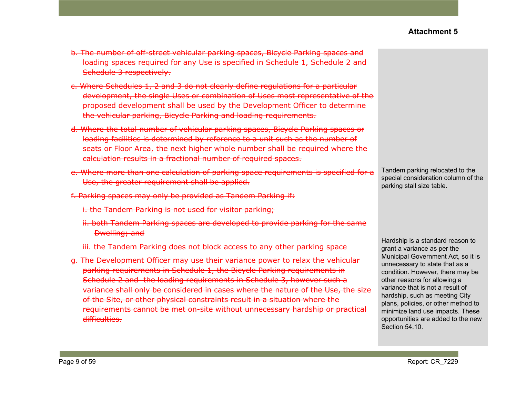- b. The number of off-street vehicular parking spaces, Bicycle Parking spaces and loading spaces required for any Use is specified in Schedule 1, Schedule 2 and Schedule 3 respectively.
- c. Where Schedules 1, 2 and 3 do not clearly define regulations for a particular development, the single Uses or combination of Uses most representative of the proposed development shall be used by the Development Officer to determine the vehicular parking, Bicycle Parking and loading requirements.
- d. Where the total number of vehicular parking spaces, Bicycle Parking spaces or loading facilities is determined by reference to a unit such as the number of seats or Floor Area, the next higher whole number shall be required where the calculation results in a fractional number of required spaces.
- e. Where more than one calculation of parking space requirements is specified for a Use, the greater requirement shall be applied.
- f. Parking spaces may only be provided as Tandem Parking if:
	- i. the Tandem Parking is not used for visitor parking;
	- ii. both Tandem Parking spaces are developed to provide parking for the same Dwelling; and
	- iii. the Tandem Parking does not block access to any other parking space
- g. The Development Officer may use their variance power to relax the vehicular parking requirements in Schedule 1, the Bicycle Parking requirements in Schedule 2 and the loading requirements in Schedule 3, however such a variance shall only be considered in cases where the nature of the Use, the size of the Site, or other physical constraints result in a situation where the requirements cannot be met on-site without unnecessary hardship or practical difficulties.

Tandem parking relocated to the special consideration column of the parking stall size table.

Hardship is a standard reason to grant a variance as per the Municipal Government Act, so it is unnecessary to state that as a condition. However, there may be other reasons for allowing a variance that is not a result of hardship, such as meeting City plans, policies, or other method to minimize land use impacts. These opportunities are added to the new Section 54.10.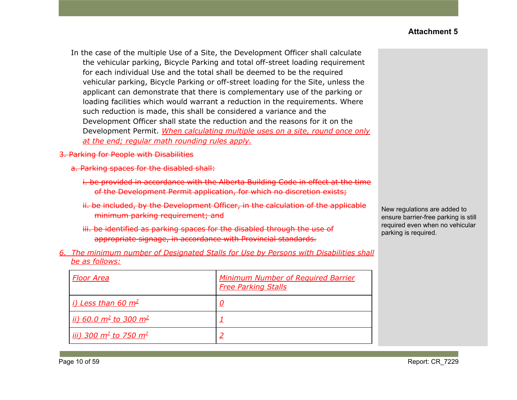In the case of the multiple Use of a Site, the Development Officer shall calculate the vehicular parking, Bicycle Parking and total off-street loading requirement for each individual Use and the total shall be deemed to be the required vehicular parking, Bicycle Parking or off-street loading for the Site, unless the applicant can demonstrate that there is complementary use of the parking or loading facilities which would warrant a reduction in the requirements. Where such reduction is made, this shall be considered a variance and the Development Officer shall state the reduction and the reasons for it on the Development Permit. *When calculating multiple uses on a site, round once only at the end; regular math rounding rules apply.*

- 3. Parking for People with Disabilities
	- a. Parking spaces for the disabled shall:
		- i. be provided in accordance with the Alberta Building Code in effect at the time of the Development Permit application, for which no discretion exists;
		- ii. be included, by the Development Officer, in the calculation of the applicable minimum parking requirement; and
		- iii. be identified as parking spaces for the disabled through the use of appropriate signage, in accordance with Provincial standards.
- *6. The minimum number of Designated Stalls for Use by Persons with Disabilities shall be as follows:*

| <b>Floor Area</b>                                  | <b>Minimum Number of Required Barrier</b><br><b>Free Parking Stalls</b> |
|----------------------------------------------------|-------------------------------------------------------------------------|
| <i>i)</i> Less than 60 $m^2$                       | <u>0</u>                                                                |
| ii) 60.0 m <sup>2</sup> to 300 m <sup>2</sup>      |                                                                         |
| <u>iii) 300 m<sup>2</sup> to 750 m<sup>2</sup></u> |                                                                         |

New regulations are added to ensure barrier-free parking is still required even when no vehicular parking is required.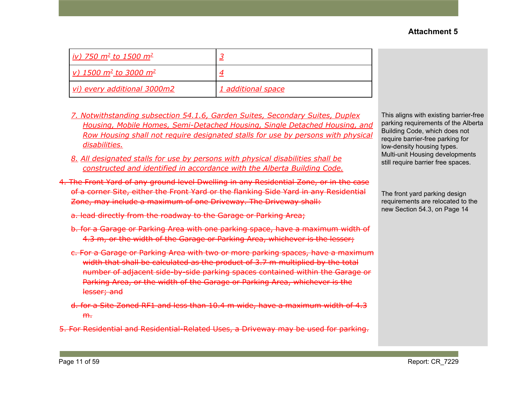This aligns with existing barrier-free parking requirements of the Alberta Building Code, which does not require barrier-free parking for low-density housing types. Multi-unit Housing developments still require barrier free spaces.

The front yard parking design requirements are relocated to the new Section 54.3, on Page 14

| <u>iv)</u> 750 m <sup>2</sup> to 1500 m <sup>2</sup> |                    |
|------------------------------------------------------|--------------------|
| v) 1500 $m^2$ to 3000 $m^2$                          |                    |
| vi) every additional 3000m2                          | 1 additional space |

- *7. Notwithstanding subsection 54.1.6, Garden Suites, Secondary Suites, Duplex Housing, Mobile Homes, Semi-Detached Housing, Single Detached Housing, and Row Housing shall not require designated stalls for use by persons with physical disabilities.*
- *8. All designated stalls for use by persons with physical disabilities shall be constructed and identified in accordance with the Alberta Building Code.*
- 4. The Front Yard of any ground level Dwelling in any Residential Zone, or in the case of a corner Site, either the Front Yard or the flanking Side Yard in any Residential Zone, may include a maximum of one Driveway. The Driveway shall:
	- a. lead directly from the roadway to the Garage or Parking Area;
	- b. for a Garage or Parking Area with one parking space, have a maximum width of 4.3 m, or the width of the Garage or Parking Area, whichever is the lesser;
	- c. For a Garage or Parking Area with two or more parking spaces, have a maximum width that shall be calculated as the product of 3.7 m multiplied by the total number of adjacent side-by-side parking spaces contained within the Garage or Parking Area, or the width of the Garage or Parking Area, whichever is the lesser; and
	- d. for a Site Zoned RF1 and less than 10.4 m wide, have a maximum width of 4.3 m.
- 5. For Residential and Residential-Related Uses, a Driveway may be used for parking.

## **Attachment 5**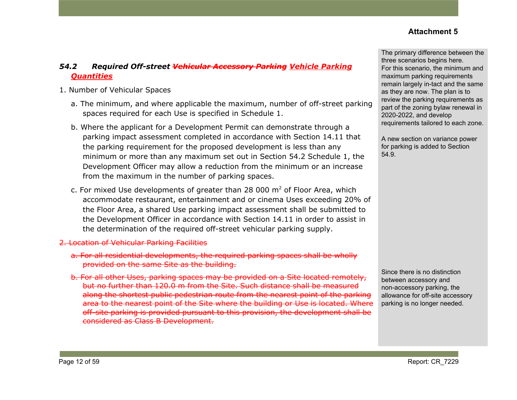# *54.2 Required Off-street Vehicular Accessory Parking Vehicle Parking Quantities*

- 1. Number of Vehicular Spaces
	- a. The minimum, and where applicable the maximum, number of off-street parking spaces required for each Use is specified in Schedule 1.
	- b. Where the applicant for a Development Permit can demonstrate through a parking impact assessment completed in accordance with Section 14.11 that the parking requirement for the proposed development is less than any minimum or more than any maximum set out in Section 54.2 Schedule 1, the Development Officer may allow a reduction from the minimum or an increase from the maximum in the number of parking spaces.
	- c. For mixed Use developments of greater than 28 000  $m<sup>2</sup>$  of Floor Area, which accommodate restaurant, entertainment and or cinema Uses exceeding 20% of the Floor Area, a shared Use parking impact assessment shall be submitted to the Development Officer in accordance with Section 14.11 in order to assist in the determination of the required off-street vehicular parking supply.
- 2. Location of Vehicular Parking Facilities
	- a. For all residential developments, the required parking spaces shall be wholly provided on the same Site as the building.
	- b. For all other Uses, parking spaces may be provided on a Site located remotely, but no further than 120.0 m from the Site. Such distance shall be measured along the shortest public pedestrian route from the nearest point of the parking area to the nearest point of the Site where the building or Use is located. Where off-site parking is provided pursuant to this provision, the development shall be considered as Class B Development.

The primary difference between the three scenarios begins here. For this scenario, the minimum and maximum parking requirements remain largely in-tact and the same as they are now. The plan is to review the parking requirements as part of the zoning bylaw renewal in 2020-2022, and develop requirements tailored to each zone.

A new section on variance power for parking is added to Section 54.9.

Since there is no distinction between accessory and non-accessory parking, the allowance for off-site accessory parking is no longer needed.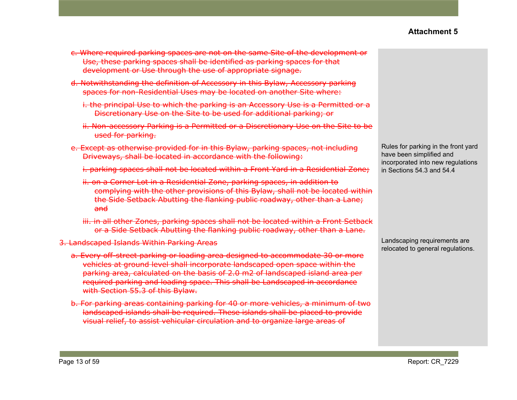- c. Where required parking spaces are not on the same Site of the development or Use, these parking spaces shall be identified as parking spaces for that development or Use through the use of appropriate signage.
- d. Notwithstanding the definition of Accessory in this Bylaw, Accessory parking spaces for non-Residential Uses may be located on another Site where:
	- i. the principal Use to which the parking is an Accessory Use is a Permitted or a Discretionary Use on the Site to be used for additional parking; or
	- ii. Non-accessory Parking is a Permitted or a Discretionary Use on the Site to be used for parking.
- e. Except as otherwise provided for in this Bylaw, parking spaces, not including Driveways, shall be located in accordance with the following:
	- i. parking spaces shall not be located within a Front Yard in a Residential Zone;
	- ii. on a Corner Lot in a Residential Zone, parking spaces, in addition to complying with the other provisions of this Bylaw, shall not be located within the Side Setback Abutting the flanking public roadway, other than a Lane; and
	- iii. in all other Zones, parking spaces shall not be located within a Front Setback or a Side Setback Abutting the flanking public roadway, other than a Lane.
- 3. Landscaped Islands Within Parking Areas
	- a. Every off-street parking or loading area designed to accommodate 30 or more vehicles at ground level shall incorporate landscaped open space within the parking area, calculated on the basis of 2.0 m2 of landscaped island area per required parking and loading space. This shall be Landscaped in accordance with Section 55.3 of this Bylaw.
	- b. For parking areas containing parking for 40 or more vehicles, a minimum of two landscaped islands shall be required. These islands shall be placed to provide visual relief, to assist vehicular circulation and to organize large areas of

Rules for parking in the front yard have been simplified and incorporated into new regulations in Sections 54.3 and 54.4

Landscaping requirements are relocated to general regulations.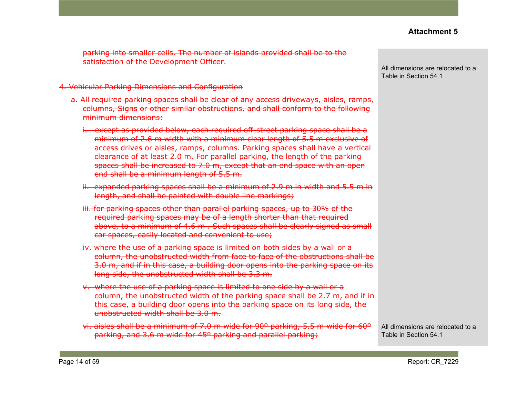parking into smaller cells. The number of islands provided shall be to the satisfaction of the Development Officer.

#### 4. Vehicular Parking Dimensions and Configuration

- a. All required parking spaces shall be clear of any access driveways, aisles, ramps, columns, Signs or other similar obstructions, and shall conform to the following minimum dimensions:
	- i. except as provided below, each required off-street parking space shall be a minimum of 2.6 m width with a minimum clear length of 5.5 m exclusive of access drives or aisles, ramps, columns. Parking spaces shall have a vertical clearance of at least 2.0 m. For parallel parking, the length of the parking spaces shall be increased to 7.0 m, except that an end space with an open end shall be a minimum length of 5.5 m.
	- ii. expanded parking spaces shall be a minimum of 2.9 m in width and 5.5 m in length, and shall be painted with double line markings;
	- iii. for parking spaces other than parallel parking spaces, up to 30% of the required parking spaces may be of a length shorter than that required above, to a minimum of 4.6 m . Such spaces shall be clearly signed as small car spaces, easily located and convenient to use;
	- iv. where the use of a parking space is limited on both sides by a wall or a column, the unobstructed width from face to face of the obstructions shall be 3.0 m, and if in this case, a building door opens into the parking space on its long side, the unobstructed width shall be 3.3 m.
	- v. where the use of a parking space is limited to one side by a wall or a column, the unobstructed width of the parking space shall be 2.7 m, and if in this case, a building door opens into the parking space on its long side, the unobstructed width shall be 3.0 m.
	- vi. aisles shall be a minimum of 7.0 m wide for 90º parking, 5.5 m wide for 60º parking, and 3.6 m wide for 45º parking and parallel parking;

All dimensions are relocated to a Table in Section 54.1

All dimensions are relocated to a Table in Section 54.1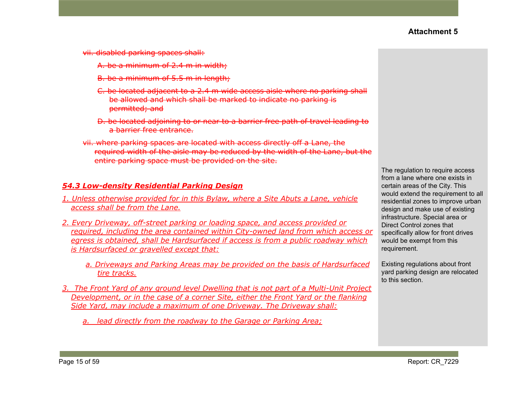- vii. disabled parking spaces shall:
	- A. be a minimum of 2.4 m in width;
	- B. be a minimum of 5.5 m in length;
	- C. be located adjacent to a 2.4 m wide access aisle where no parking shall be allowed and which shall be marked to indicate no parking is permitted; and
	- D. be located adjoining to or near to a barrier free path of travel leading to a barrier free entrance.
- vii. where parking spaces are located with access directly off a Lane, the required width of the aisle may be reduced by the width of the Lane, but the entire parking space must be provided on the site.

#### *54.3 Low-density Residential Parking Design*

- *1. Unless otherwise provided for in this Bylaw, where a Site Abuts a Lane, vehicle access shall be from the Lane.*
- *2. Every Driveway, off-street parking or loading space, and access provided or required, including the area contained within City-owned land from which access or egress is obtained, shall be Hardsurfaced if access is from a public roadway which is Hardsurfaced or gravelled except that:*
	- *a. Driveways and Parking Areas may be provided on the basis of Hardsurfaced tire tracks.*
- *3. The Front Yard of any ground level Dwelling that is not part of a Multi-Unit Project Development, or in the case of a corner Site, either the Front Yard or the flanking Side Yard, may include a maximum of one Driveway. The Driveway shall:*
	- *a. lead directly from the roadway to the Garage or Parking Area;*

The regulation to require access from a lane where one exists in certain areas of the City. This would extend the requirement to all residential zones to improve urban design and make use of existing infrastructure. Special area or Direct Control zones that specifically allow for front drives would be exempt from this requirement.

Existing regulations about front yard parking design are relocated to this section.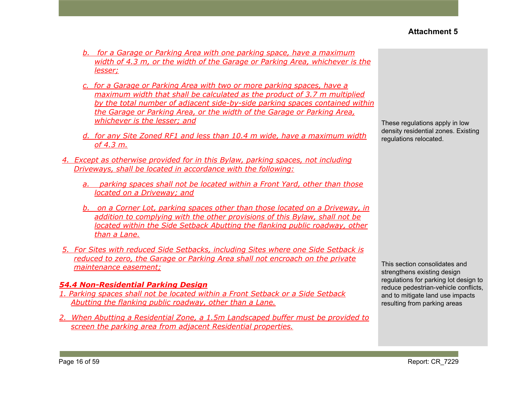- *b. for a Garage or Parking Area with one parking space, have a maximum width of 4.3 m, or the width of the Garage or Parking Area, whichever is the lesser;*
- *c. for a Garage or Parking Area with two or more parking spaces, have a maximum width that shall be calculated as the product of 3.7 m multiplied by the total number of adjacent side-by-side parking spaces contained within the Garage or Parking Area, or the width of the Garage or Parking Area, whichever is the lesser; and*
- *d. for any Site Zoned RF1 and less than 10.4 m wide, have a maximum width of 4.3 m.*
- *4. Except as otherwise provided for in this Bylaw, parking spaces, not including Driveways, shall be located in accordance with the following:*
	- *a. parking spaces shall not be located within a Front Yard, other than those located on a Driveway; and*
	- *b. on a Corner Lot, parking spaces other than those located on a Driveway, in addition to complying with the other provisions of this Bylaw, shall not be located within the Side Setback Abutting the flanking public roadway, other than a Lane.*
- *5. For Sites with reduced Side Setbacks, including Sites where one Side Setback is reduced to zero, the Garage or Parking Area shall not encroach on the private maintenance easement;*

## *54.4 Non-Residential Parking Design*

- *1. Parking spaces shall not be located within a Front Setback or a Side Setback Abutting the flanking public roadway, other than a Lane.*
- *2. When Abutting a Residential Zone, a 1.5m Landscaped buffer must be provided to screen the parking area from adjacent Residential properties.*

These regulations apply in low density residential zones. Existing regulations relocated.

This section consolidates and strengthens existing design regulations for parking lot design to reduce pedestrian-vehicle conflicts, and to mitigate land use impacts resulting from parking areas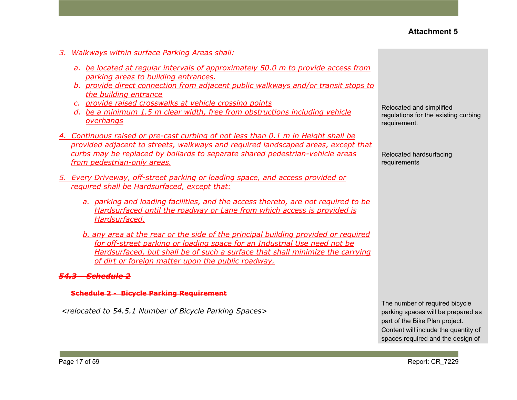- *3. Walkways within surface Parking Areas shall:*
	- *a. be located at regular intervals of approximately 50.0 m to provide access from parking areas to building entrances.*
	- *b. provide direct connection from adjacent public walkways and/or transit stops to the building entrance*
	- *c. provide raised crosswalks at vehicle crossing points*
	- *d. be a minimum 1.5 m clear width, free from obstructions including vehicle overhangs*
- *4. Continuous raised or pre-cast curbing of not less than 0.1 m in Height shall be provided adjacent to streets, walkways and required landscaped areas, except that curbs may be replaced by bollards to separate shared pedestrian-vehicle areas from pedestrian-only areas.*
- *5. Every Driveway, off-street parking or loading space, and access provided or required shall be Hardsurfaced, except that:*
	- *a. parking and loading facilities, and the access thereto, are not required to be Hardsurfaced until the roadway or Lane from which access is provided is Hardsurfaced.*
	- *b. any area at the rear or the side of the principal building provided or required for off-street parking or loading space for an Industrial Use need not be Hardsurfaced, but shall be of such a surface that shall minimize the carrying of dirt or foreign matter upon the public roadway.*

#### *54.3 Schedule 2*

#### **Schedule 2 - Bicycle Parking Requirement**

*<relocated to 54.5.1 Number of Bicycle Parking Spaces>*

Relocated and simplified regulations for the existing curbing requirement.

Relocated hardsurfacing requirements

The number of required bicycle parking spaces will be prepared as part of the Bike Plan project. Content will include the quantity of spaces required and the design of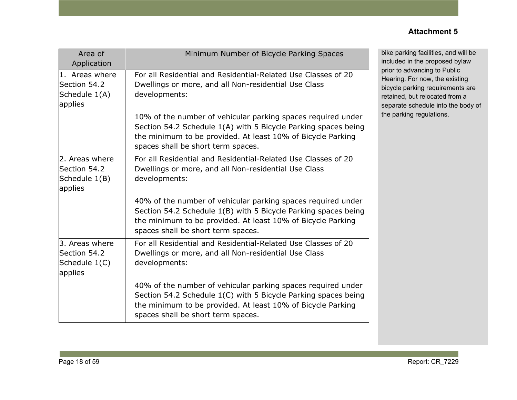| Area of<br>Application                                     | Minimum Number of Bicycle Parking Spaces                                                                                                                                                                                            |
|------------------------------------------------------------|-------------------------------------------------------------------------------------------------------------------------------------------------------------------------------------------------------------------------------------|
| 1. Areas where<br>Section 54.2<br>Schedule 1(A)<br>applies | For all Residential and Residential-Related Use Classes of 20<br>Dwellings or more, and all Non-residential Use Class<br>developments:                                                                                              |
|                                                            | 10% of the number of vehicular parking spaces required under<br>Section 54.2 Schedule 1(A) with 5 Bicycle Parking spaces being<br>the minimum to be provided. At least 10% of Bicycle Parking<br>spaces shall be short term spaces. |
| 2. Areas where<br>Section 54.2<br>Schedule 1(B)<br>applies | For all Residential and Residential-Related Use Classes of 20<br>Dwellings or more, and all Non-residential Use Class<br>developments:                                                                                              |
|                                                            | 40% of the number of vehicular parking spaces required under<br>Section 54.2 Schedule 1(B) with 5 Bicycle Parking spaces being<br>the minimum to be provided. At least 10% of Bicycle Parking<br>spaces shall be short term spaces. |
| 3. Areas where<br>Section 54.2<br>Schedule 1(C)<br>applies | For all Residential and Residential-Related Use Classes of 20<br>Dwellings or more, and all Non-residential Use Class<br>developments:                                                                                              |
|                                                            | 40% of the number of vehicular parking spaces required under<br>Section 54.2 Schedule 1(C) with 5 Bicycle Parking spaces being<br>the minimum to be provided. At least 10% of Bicycle Parking<br>spaces shall be short term spaces. |

bike parking facilities, and will be included in the proposed bylaw prior to advancing to Public Hearing. For now, the existing bicycle parking requirements are retained, but relocated from a separate schedule into the body of the parking regulations.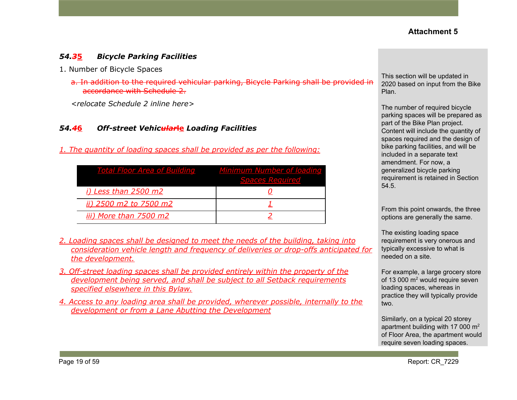## *54.3***5** *Bicycle Parking Facilities*

- 1. Number of Bicycle Spaces
	- a. In addition to the required vehicular parking, Bicycle Parking shall be provided in accordance with Schedule 2.

*<relocate Schedule 2 inline here>*

#### *54.4***6** *Off-street Vehicular***le** *Loading Facilities*

*1. The quantity of loading spaces shall be provided as per the following:*

| <b>Total Floor Area of Building</b> | Minimum Number of loading<br><b>Spaces Required</b> |
|-------------------------------------|-----------------------------------------------------|
| <i>i)</i> Less than 2500 m2         |                                                     |
| ii) 2500 m2 to 7500 m2              |                                                     |
| iii) More than 7500 m2              |                                                     |

- *2. Loading spaces shall be designed to meet the needs of the building, taking into consideration vehicle length and frequency of deliveries or drop-offs anticipated for the development.*
- *3. Off-street loading spaces shall be provided entirely within the property of the development being served, and shall be subject to all Setback requirements specified elsewhere in this Bylaw.*
- *4. Access to any loading area shall be provided, wherever possible, internally to the development or from a Lane Abutting the Development*

This section will be updated in 2020 based on input from the Bike Plan.

The number of required bicycle parking spaces will be prepared as part of the Bike Plan project. Content will include the quantity of spaces required and the design of bike parking facilities, and will be included in a separate text amendment. For now, a generalized bicycle parking requirement is retained in Section 54.5.

From this point onwards, the three options are generally the same.

The existing loading space requirement is very onerous and typically excessive to what is needed on a site.

For example, a large grocery store of 13 000 m<sup>2</sup> would require seven loading spaces, whereas in practice they will typically provide two.

Similarly, on a typical 20 storey apartment building with 17 000 m<sup>2</sup> of Floor Area, the apartment would require seven loading spaces.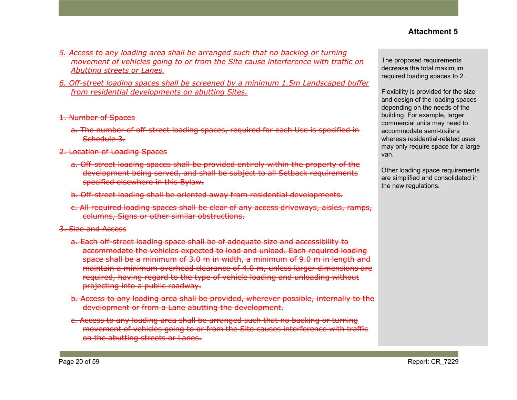- *5. Access to any loading area shall be arranged such that no backing or turning movement of vehicles going to or from the Site cause interference with traffic on Abutting streets or Lanes.*
- *6. Off-street loading spaces shall be screened by a minimum 1.5m Landscaped buffer from residential developments on abutting Sites.*
- 1. Number of Spaces
	- a. The number of off-street loading spaces, required for each Use is specified in Schedule 3.
- 2. Location of Loading Spaces
	- a. Off-street loading spaces shall be provided entirely within the property of the development being served, and shall be subject to all Setback requirements specified elsewhere in this Bylaw.
	- b. Off-street loading shall be oriented away from residential developments.
	- c. All required loading spaces shall be clear of any access driveways, aisles, ramps, columns, Signs or other similar obstructions.
- 3. Size and Access
	- a. Each off-street loading space shall be of adequate size and accessibility to accommodate the vehicles expected to load and unload. Each required loading space shall be a minimum of 3.0 m in width, a minimum of 9.0 m in length and maintain a minimum overhead clearance of 4.0 m, unless larger dimensions are required, having regard to the type of vehicle loading and unloading without projecting into a public roadway.
	- b. Access to any loading area shall be provided, wherever possible, internally to the development or from a Lane abutting the development.
	- c. Access to any loading area shall be arranged such that no backing or turning movement of vehicles going to or from the Site causes interference with traffic on the abutting streets or Lanes.

The proposed requirements decrease the total maximum required loading spaces to 2.

Flexibility is provided for the size and design of the loading spaces depending on the needs of the building. For example, larger commercial units may need to accommodate semi-trailers whereas residential-related uses may only require space for a large van.

Other loading space requirements are simplified and consolidated in the new regulations.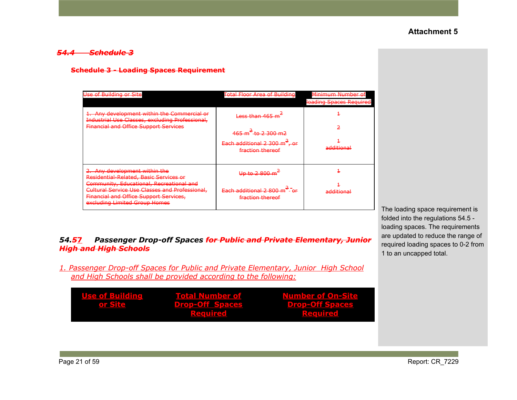#### *54.4 Schedule 3*

#### **Schedule 3 - Loading Spaces Requirement**

| 54. <del>5</del> 7 | Passenger Drop-off Spaces <del>for Public and Private Elementary, Junior</del> |
|--------------------|--------------------------------------------------------------------------------|
|                    | <del>High and High Schools</del>                                               |

*1. Passenger Drop-off Spaces for Public and Private Elementary, Junior High School and High Schools shall be provided according to the following:*

| <b>Use of Building</b> | <b>Total Number of</b> | <b>Number of On-Site</b> |
|------------------------|------------------------|--------------------------|
| or Site                | <b>Drop-Off Spaces</b> | <b>Drop-Off Spaces</b>   |
|                        | Reguired               | <b>Required</b>          |

The loading space requirement is folded into the regulations 54.5 loading spaces. The requirements are updated to reduce the range of required loading spaces to 0-2 from 1 to an uncapped total.

| Use of Building or Site                                                                                                                                                      | <b>Total Floor Area of Building</b>                                      | Minimum Number of                   |
|------------------------------------------------------------------------------------------------------------------------------------------------------------------------------|--------------------------------------------------------------------------|-------------------------------------|
|                                                                                                                                                                              |                                                                          | loading Spaces Required             |
| 1. Any development within the Commercial or<br>Industrial Use Classes, excluding Professional,                                                                               | Less than 465 m                                                          |                                     |
| <b>Financial and Office Support Services</b>                                                                                                                                 | 465 m <sup>=</sup> to 2.300 m2<br><u> ਦਾ ਸ਼ਾਹਿਰ ਜਿਸ</u>                  |                                     |
|                                                                                                                                                                              | Each additional 2 300 $m2$ ,<br><del>. or</del><br>fraction thereof      | additional                          |
| 2. Any development within the<br>Residential-Related, Basic Services or                                                                                                      | $1ln t_0$ 2.800 m<br><del>oo to 2 oou m</del>                            |                                     |
| Community, Educational, Recreational and<br>Cultural Service Use Classes and Professional,<br><b>Financial and Office Support Services,</b><br>excluding Limited Group Homes | Each additional 2 800 m <sup>e</sup> - or<br><del>fraction thereof</del> | additional<br><del>auunuvna</del> i |

# **Attachment 5**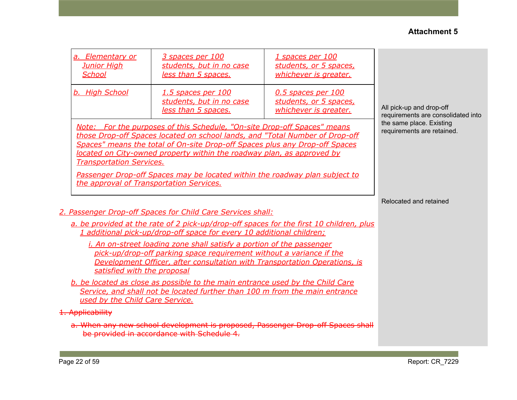| a. Elementary or<br><b>Junior High</b><br><b>School</b>                                                                                                                                                                                                                                                                                                                                                                                                                         | 3 spaces per 100<br>students, but in no case<br>less than 5 spaces.                                                                                                                                                             | <u>1 spaces per 100</u><br>students, or 5 spaces,<br>whichever is greater. |                                                                |  |  |  |
|---------------------------------------------------------------------------------------------------------------------------------------------------------------------------------------------------------------------------------------------------------------------------------------------------------------------------------------------------------------------------------------------------------------------------------------------------------------------------------|---------------------------------------------------------------------------------------------------------------------------------------------------------------------------------------------------------------------------------|----------------------------------------------------------------------------|----------------------------------------------------------------|--|--|--|
| b. High School                                                                                                                                                                                                                                                                                                                                                                                                                                                                  | 1.5 spaces per 100<br>students, but in no case<br>less than 5 spaces.                                                                                                                                                           | 0.5 spaces per 100<br>students, or 5 spaces,<br>whichever is greater.      | All pick-up and drop-off<br>requirements are consolidated into |  |  |  |
| Note: For the purposes of this Schedule, "On-site Drop-off Spaces" means<br>those Drop-off Spaces located on school lands, and "Total Number of Drop-off<br>Spaces" means the total of On-site Drop-off Spaces plus any Drop-off Spaces<br>located on City-owned property within the roadway plan, as approved by<br><b>Transportation Services.</b><br>Passenger Drop-off Spaces may be located within the roadway plan subject to<br>the approval of Transportation Services. | the same place. Existing<br>requirements are retained.                                                                                                                                                                          |                                                                            |                                                                |  |  |  |
|                                                                                                                                                                                                                                                                                                                                                                                                                                                                                 |                                                                                                                                                                                                                                 |                                                                            | Relocated and retained                                         |  |  |  |
|                                                                                                                                                                                                                                                                                                                                                                                                                                                                                 | 2. Passenger Drop-off Spaces for Child Care Services shall:<br>a. be provided at the rate of 2 pick-up/drop-off spaces for the first 10 children, plus<br>1 additional pick-up/drop-off space for every 10 additional children; |                                                                            |                                                                |  |  |  |
| <i>i. An on-street loading zone shall satisfy a portion of the passenger</i><br>pick-up/drop-off parking space requirement without a variance if the<br>Development Officer, after consultation with Transportation Operations, is<br>satisfied with the proposal                                                                                                                                                                                                               |                                                                                                                                                                                                                                 |                                                                            |                                                                |  |  |  |
| b. be located as close as possible to the main entrance used by the Child Care<br>Service, and shall not be located further than 100 m from the main entrance<br>used by the Child Care Service.                                                                                                                                                                                                                                                                                |                                                                                                                                                                                                                                 |                                                                            |                                                                |  |  |  |
| 1. Applicability                                                                                                                                                                                                                                                                                                                                                                                                                                                                |                                                                                                                                                                                                                                 |                                                                            |                                                                |  |  |  |
| a. When any new school development is proposed, Passenger Drop-off Spaces shall<br>be provided in accordance with Schedule 4.                                                                                                                                                                                                                                                                                                                                                   |                                                                                                                                                                                                                                 |                                                                            |                                                                |  |  |  |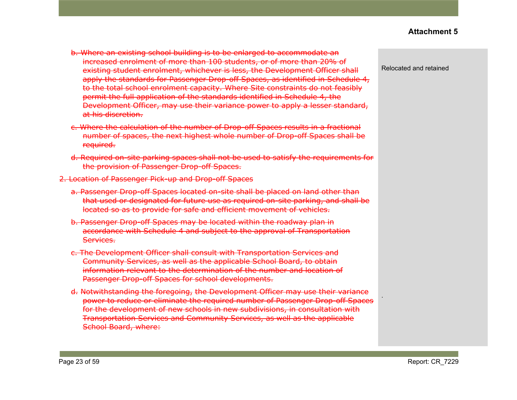- b. Where an existing school building is to be enlarged to accommodate an increased enrolment of more than 100 students, or of more than 20% of existing student enrolment, whichever is less, the Development Officer shall apply the standards for Passenger Drop-off Spaces, as identified in Schedule 4, to the total school enrolment capacity. Where Site constraints do not feasibly permit the full application of the standards identified in Schedule 4, the Development Officer, may use their variance power to apply a lesser standard, at his discretion.
- c. Where the calculation of the number of Drop-off Spaces results in a fractional number of spaces, the next highest whole number of Drop-off Spaces shall be required.
- d. Required on-site parking spaces shall not be used to satisfy the requirements for the provision of Passenger Drop-off Spaces.
- 2. Location of Passenger Pick-up and Drop-off Spaces
	- a. Passenger Drop-off Spaces located on-site shall be placed on land other than that used or designated for future use as required on-site parking, and shall be located so as to provide for safe and efficient movement of vehicles.
	- b. Passenger Drop-off Spaces may be located within the roadway plan in accordance with Schedule 4 and subject to the approval of Transportation Services.
	- c. The Development Officer shall consult with Transportation Services and Community Services, as well as the applicable School Board, to obtain information relevant to the determination of the number and location of Passenger Drop-off Spaces for school developments.
	- d. Notwithstanding the foregoing, the Development Officer may use their variance power to reduce or eliminate the required number of Passenger Drop-off Spaces for the development of new schools in new subdivisions, in consultation with Transportation Services and Community Services, as well as the applicable School Board, where:

Relocated and retained

.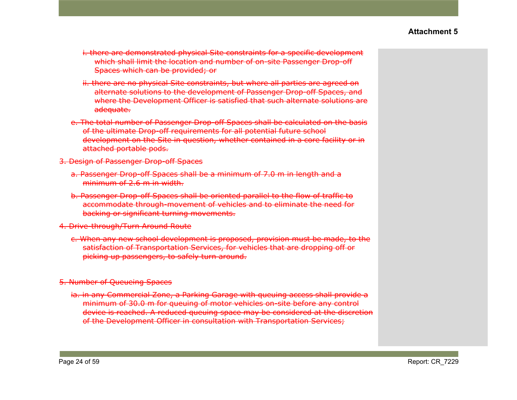- i. there are demonstrated physical Site constraints for a specific development which shall limit the location and number of on-site Passenger Drop-off Spaces which can be provided; or
- ii. there are no physical Site constraints, but where all parties are agreed on alternate solutions to the development of Passenger Drop-off Spaces, and where the Development Officer is satisfied that such alternate solutions are adeauate.
- e. The total number of Passenger Drop-off Spaces shall be calculated on the basis of the ultimate Drop-off requirements for all potential future school development on the Site in question, whether contained in a core facility or in attached portable pods.
- 3. Design of Passenger Drop-off Spaces
	- a. Passenger Drop-off Spaces shall be a minimum of 7.0 m in length and a minimum of 2.6 m in width.
	- b. Passenger Drop-off Spaces shall be oriented parallel to the flow of traffic to accommodate through-movement of vehicles and to eliminate the need for backing or significant turning movements.
- 4. Drive-through/Turn Around Route
	- c. When any new school development is proposed, provision must be made, to the satisfaction of Transportation Services, for vehicles that are dropping off or picking up passengers, to safely turn around.
- 5. Number of Queueing Spaces
	- ia. in any Commercial Zone, a Parking Garage with queuing access shall provide a minimum of 30.0 m for queuing of motor vehicles on-site before any control device is reached. A reduced queuing space may be considered at the discretion of the Development Officer in consultation with Transportation Services;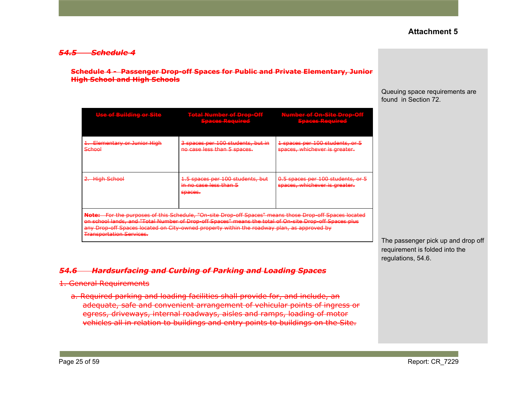#### *54.5 Schedule 4*

#### **Schedule 4 - Passenger Drop-off Spaces for Public and Private Elementary, Junior High School and High Schools**

| llse of Ruilding or Site<br><u>utria mita se este in pia mita esta e</u>                                                                                                                                                                                                                                                                          | <b>Total Number of Drop-Off</b><br>Sterace Docuirod,<br><u> 11 iliyo maso maso </u> | Number of On-Site Dron-Off<br>ATLES ARE ALLES AN ARRAIGNMENT<br>Spaces Dequired<br><u>M MARATARAN TAHUN P</u> |  |  |  |
|---------------------------------------------------------------------------------------------------------------------------------------------------------------------------------------------------------------------------------------------------------------------------------------------------------------------------------------------------|-------------------------------------------------------------------------------------|---------------------------------------------------------------------------------------------------------------|--|--|--|
| Elementary or Junior High<br>School                                                                                                                                                                                                                                                                                                               | 3 spaces per 100 students, but in<br>no case less than 5 spaces.                    | 1 spaces per 100 students, or 5<br>spaces, whichever is greater.                                              |  |  |  |
| 2. High School                                                                                                                                                                                                                                                                                                                                    | 1.5 spaces per 100 students, but<br><del>in no case less than 5</del><br>spaces.    | 0.5 spaces per 100 students, or 5<br>spaces, whichever is greater.                                            |  |  |  |
| Note: For the purposes of this Schedule, "On-site Drop-off Spaces" means those Drop-off Spaces located<br>on school lands, and "Total Number of Drop-off Spaces" means the total of On-site Drop-off Spaces plus<br>any Drop-off Spaces located on City-owned property within the roadway plan, as approved by<br><b>Transportation Services.</b> |                                                                                     |                                                                                                               |  |  |  |

#### *54.6 Hardsurfacing and Curbing of Parking and Loading Spaces*

#### 1. General Requirements

a. Required parking and loading facilities shall provide for, and include, an adequate, safe and convenient arrangement of vehicular points of ingress or egress, driveways, internal roadways, aisles and ramps, loading of motor vehicles all in relation to buildings and entry points to buildings on the Site.

Queuing space requirements are found in Section 72.

The passenger pick up and drop off requirement is folded into the regulations, 54.6.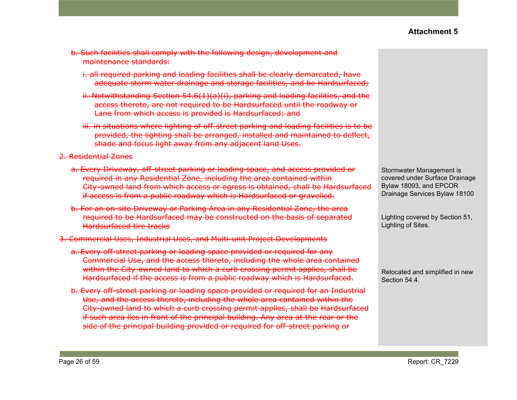- b. Such facilities shall comply with the following design, development and maintenance standards:
	- i. all required parking and loading facilities shall be clearly demarcated, have adequate storm water drainage and storage facilities, and be Hardsurfaced;
	- ii. Notwithstanding Section 54.6(1)(a)(i), parking and loading facilities, and the access thereto, are not required to be Hardsurfaced until the roadway or Lane from which access is provided is Hardsurfaced; and
	- iii. in situations where lighting of off-street parking and loading facilities is to be provided, the lighting shall be arranged, installed and maintained to deflect, shade and focus light away from any adjacent land Uses.

2. Residential Zones

- a. Every Driveway, off-street parking or loading space, and access provided or required in any Residential Zone, including the area contained within City-owned land from which access or egress is obtained, shall be Hardsurfaced if access is from a public roadway which is Hardsurfaced or gravelled.
- b. For an on-site Driveway or Parking Area in any Residential Zone, the area required to be Hardsurfaced may be constructed on the basis of separated Hardsurfaced tire tracks
- 3. Commercial Uses, Industrial Uses, and Multi-unit Project Developments
	- a. Every off-street parking or loading space provided or required for any Commercial Use, and the access thereto, including the whole area contained within the City-owned land to which a curb crossing permit applies, shall be Hardsurfaced if the access is from a public roadway which is Hardsurfaced.
	- b. Every off-street parking or loading space provided or required for an Industrial Use, and the access thereto, including the whole area contained within the City-owned land to which a curb crossing permit applies, shall be Hardsurfaced if such area lies in front of the principal building. Any area at the rear or the side of the principal building provided or required for off-street parking or

Stormwater Management is covered under Surface Drainage Bylaw 18093, and EPCOR Drainage Services Bylaw 18100

Lighting covered by Section 51, Lighting of Sites.

Relocated and simplified in new Section 54.4.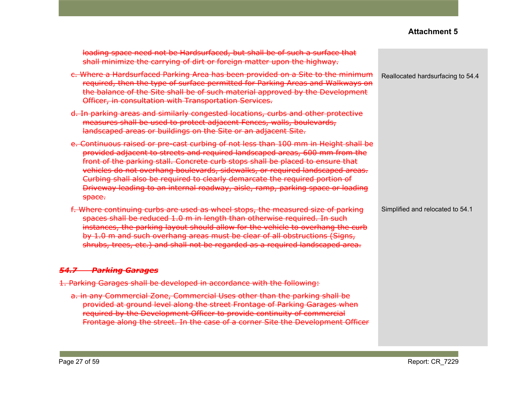| loading space need not be Hardsurfaced, but shall be of such a surface that<br>shall minimize the carrying of dirt or foreign matter upon the highway.                                                                                                                                                                                                                                                                                                                                                           |                                   |
|------------------------------------------------------------------------------------------------------------------------------------------------------------------------------------------------------------------------------------------------------------------------------------------------------------------------------------------------------------------------------------------------------------------------------------------------------------------------------------------------------------------|-----------------------------------|
| c. Where a Hardsurfaced Parking Area has been provided on a Site to the minimum<br>required, then the type of surface permitted for Parking Areas and Walkways on<br>the balance of the Site shall be of such material approved by the Development<br>Officer, in consultation with Transportation Services.                                                                                                                                                                                                     | Reallocated hardsurfacing to 54.4 |
| d. In parking areas and similarly congested locations, curbs and other protective<br>measures shall be used to protect adjacent Fences, walls, boulevards,<br>landscaped areas or buildings on the Site or an adjacent Site.                                                                                                                                                                                                                                                                                     |                                   |
| e. Continuous raised or pre-cast curbing of not less than 100 mm in Height shall be<br>provided adjacent to streets and required landscaped areas, 600 mm from the<br>front of the parking stall. Concrete curb stops shall be placed to ensure that<br>vehicles do not overhang boulevards, sidewalks, or required landscaped areas.<br>Curbing shall also be required to clearly demarcate the required portion of<br>Driveway leading to an internal roadway, aisle, ramp, parking space or loading<br>space. |                                   |
| f. Where continuing curbs are used as wheel stops, the measured size of parking<br>spaces shall be reduced 1.0 m in length than otherwise required. In such<br>instances, the parking layout should allow for the vehicle to overhang the curb<br>by 1.0 m and such overhang areas must be clear of all obstructions (Signs,<br>shrubs, trees, etc.) and shall not be regarded as a required landscaped area.                                                                                                    | Simplified and relocated to 54.1  |
| 54.7 Parking Garages                                                                                                                                                                                                                                                                                                                                                                                                                                                                                             |                                   |
| 1. Parking Garages shall be developed in accordance with the following:                                                                                                                                                                                                                                                                                                                                                                                                                                          |                                   |
| a. in any Commercial Zone, Commercial Uses other than the parking shall be<br>provided at ground level along the street Frontage of Parking Garages when<br>required by the Development Officer to provide continuity of commercial<br>Frontage along the street. In the case of a corner Site the Development Officer                                                                                                                                                                                           |                                   |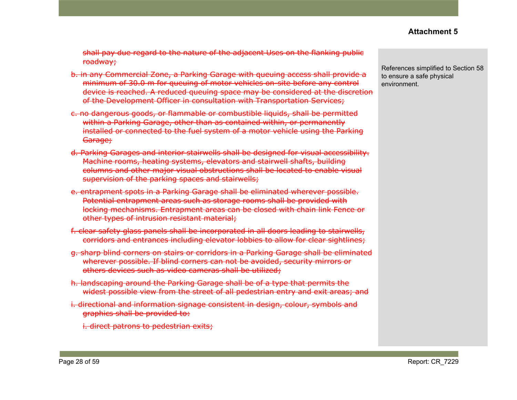shall pay due regard to the nature of the adjacent Uses on the flanking public roadway;

- b. in any Commercial Zone, a Parking Garage with queuing access shall provide a minimum of 30.0 m for queuing of motor vehicles on-site before any control device is reached. A reduced queuing space may be considered at the discretion of the Development Officer in consultation with Transportation Services;
- c. no dangerous goods, or flammable or combustible liquids, shall be permitted within a Parking Garage, other than as contained within, or permanently installed or connected to the fuel system of a motor vehicle using the Parking Garage;
- d. Parking Garages and interior stairwells shall be designed for visual accessibility. Machine rooms, heating systems, elevators and stairwell shafts, building columns and other major visual obstructions shall be located to enable visual supervision of the parking spaces and stairwells;
- e. entrapment spots in a Parking Garage shall be eliminated wherever possible. Potential entrapment areas such as storage rooms shall be provided with locking mechanisms. Entrapment areas can be closed with chain link Fence or other types of intrusion resistant material;
- f. clear safety glass panels shall be incorporated in all doors leading to stairwells, corridors and entrances including elevator lobbies to allow for clear sightlines;
- g. sharp blind corners on stairs or corridors in a Parking Garage shall be eliminated wherever possible. If blind corners can not be avoided, security mirrors or others devices such as video cameras shall be utilized;
- h. landscaping around the Parking Garage shall be of a type that permits the widest possible view from the street of all pedestrian entry and exit areas; and
- i. directional and information signage consistent in design, colour, symbols and graphics shall be provided to:

i. direct patrons to pedestrian exits;

References simplified to Section 58 to ensure a safe physical environment.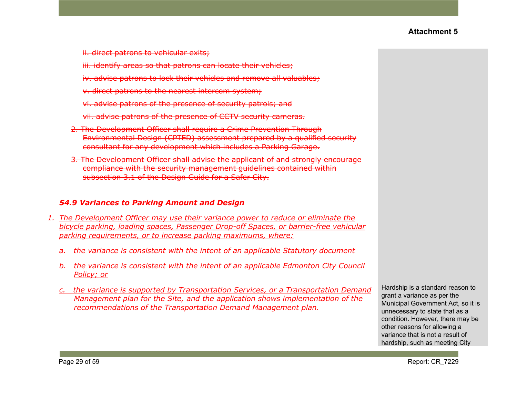ii. direct patrons to vehicular exits;

iii. identify areas so that patrons can locate their vehicles;

- iv. advise patrons to lock their vehicles and remove all valuables;
- v. direct patrons to the nearest intercom system;
- vi. advise patrons of the presence of security patrols; and
- vii. advise patrons of the presence of CCTV security cameras.
- 2. The Development Officer shall require a Crime Prevention Through Environmental Design (CPTED) assessment prepared by a qualified security consultant for any development which includes a Parking Garage.
- 3. The Development Officer shall advise the applicant of and strongly encourage compliance with the security management guidelines contained within subsection 3.1 of the Design Guide for a Safer City.

#### *54.9 Variances to Parking Amount and Design*

- *1. The Development Officer may use their variance power to reduce or eliminate the bicycle parking, loading spaces, Passenger Drop-off Spaces, or barrier-free vehicular parking requirements, or to increase parking maximums, where:*
	- *a. the variance is consistent with the intent of an applicable Statutory document*
	- *b. the variance is consistent with the intent of an applicable Edmonton City Council Policy; or*
	- *c. the variance is supported by Transportation Services, or a Transportation Demand Management plan for the Site, and the application shows implementation of the recommendations of the Transportation Demand Management plan.*

Hardship is a standard reason to grant a variance as per the Municipal Government Act, so it is unnecessary to state that as a condition. However, there may be other reasons for allowing a variance that is not a result of hardship, such as meeting City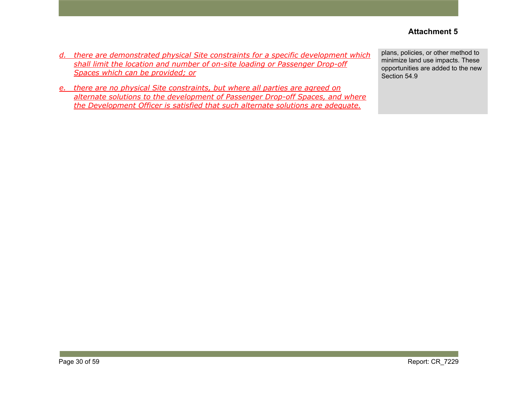- *d. there are demonstrated physical Site constraints for a specific development which shall limit the location and number of on-site loading or Passenger Drop-off Spaces which can be provided; or*
- *e. there are no physical Site constraints, but where all parties are agreed on alternate solutions to the development of Passenger Drop-off Spaces, and where the Development Officer is satisfied that such alternate solutions are adequate.*

plans, policies, or other method to minimize land use impacts. These opportunities are added to the new Section 54.9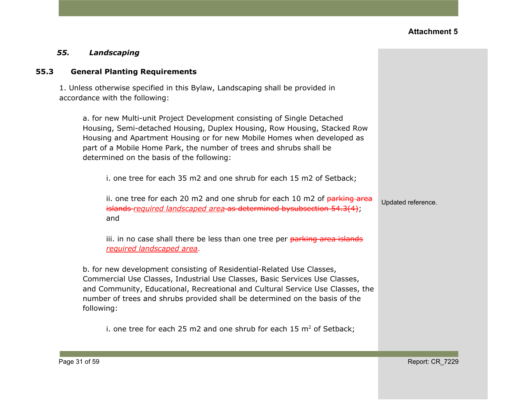#### *55. Landscaping*

#### **55.3 General Planting Requirements**

1. Unless otherwise specified in this Bylaw, Landscaping shall be provided in accordance with the following:

a. for new Multi-unit Project Development consisting of Single Detached Housing, Semi-detached Housing, Duplex Housing, Row Housing, Stacked Row Housing and Apartment Housing or for new Mobile Homes when developed as part of a Mobile Home Park, the number of trees and shrubs shall be determined on the basis of the following:

i. one tree for each 35 m2 and one shrub for each 15 m2 of Setback;

ii. one tree for each 20 m2 and one shrub for each 10 m2 of  $parking$  area islands *required landscaped area* as determined bysubsection 54.3(4); and

iii. in no case shall there be less than one tree per parking area islands *required landscaped area*.

b. for new development consisting of Residential-Related Use Classes, Commercial Use Classes, Industrial Use Classes, Basic Services Use Classes, and Community, Educational, Recreational and Cultural Service Use Classes, the number of trees and shrubs provided shall be determined on the basis of the following:

i. one tree for each 25 m2 and one shrub for each 15  $m<sup>2</sup>$  of Setback;

Updated reference.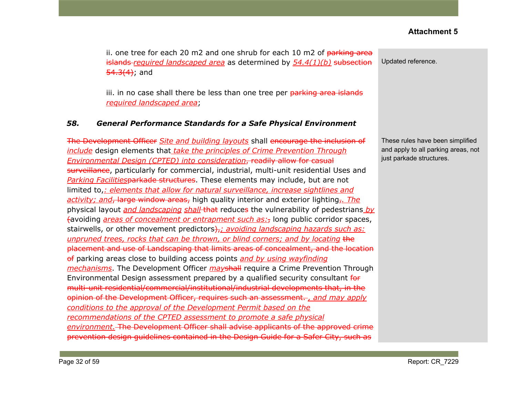ii. one tree for each 20 m2 and one shrub for each 10 m2 of  $\frac{1}{10}$  parking area islands *required landscaped area* as determined by *54.4(1)(b)* subsection  $54.3(4)$ ; and

iii. in no case shall there be less than one tree per parking area islands *required landscaped area*;

#### *58. General Performance Standards for a Safe Physical Environment*

The Development Officer *Site and building layouts* shall encourage the inclusion of *include* design elements that *take the principles of Crime Prevention Through Environmental Design (CPTED) into consideration*, readily allow for casual surveillance, particularly for commercial, industrial, multi-unit residential Uses and *Parking Facilities*parkade structures. These elements may include, but are not limited to,*: elements that allow for natural surveillance, increase sightlines and activity; and*, large window areas, high quality interior and exterior lighting,*. The* physical layout *and landscaping shall* that reduces the vulnerability of pedestrians *by* (avoiding *areas of concealment or entrapment such as:*, long public corridor spaces, stairwells, or other movement predictors<del>),</del>; *avoiding landscaping hazards such as: unpruned trees, rocks that can be thrown, or blind corners; and by locating* the placement and use of Landscaping that limits areas of concealment, and the location of parking areas close to building access points *and by using wayfinding mechanisms*. The Development Officer *may*shall require a Crime Prevention Through Environmental Design assessment prepared by a qualified security consultant for multi-unit residential/commercial/institutional/industrial developments that, in the opinion of the Development Officer, requires such an assessment. *, and may apply conditions to the approval of the Development Permit based on the recommendations of the CPTED assessment to promote a safe physical environment.* The Development Officer shall advise applicants of the approved crime prevention design guidelines contained in the Design Guide for a Safer City, such as

Updated reference.

These rules have been simplified and apply to all parking areas, not just parkade structures.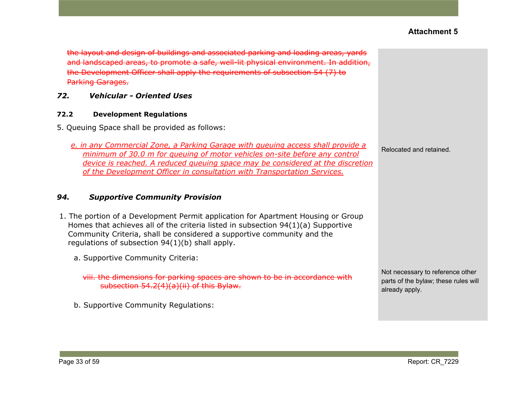the layout and design of buildings and associated parking and loading areas, yards and landscaped areas, to promote a safe, well-lit physical environment. In addition, the Development Officer shall apply the requirements of [subsection](https://webdocs.edmonton.ca/InfraPlan/zoningbylaw/ZoningBylaw/Part1/Development/54_7_Parking_Garages.htm) 54 (7) to Parking Garages.

## *72. Vehicular - Oriented Uses*

#### **72.2 Development Regulations**

5. Queuing Space shall be provided as follows:

*e. in any Commercial Zone, a Parking Garage with queuing access shall provide a minimum of 30.0 m for queuing of motor vehicles on-site before any control device is reached. A reduced queuing space may be considered at the discretion of the Development Officer in consultation with Transportation Services.*

#### *94. Supportive Community Provision*

- 1. The portion of a Development Permit application for Apartment Housing or Group Homes that achieves all of the criteria listed in subsection 94(1)(a) Supportive Community Criteria, shall be considered a supportive community and the regulations of subsection 94(1)(b) shall apply.
	- a. Supportive Community Criteria:

viii. the dimensions for parking spaces are shown to be in accordance with subsection 54.2(4)(a)(ii) of this Bylaw.

b. Supportive Community Regulations:

Relocated and retained.

Not necessary to reference other parts of the bylaw; these rules will already apply.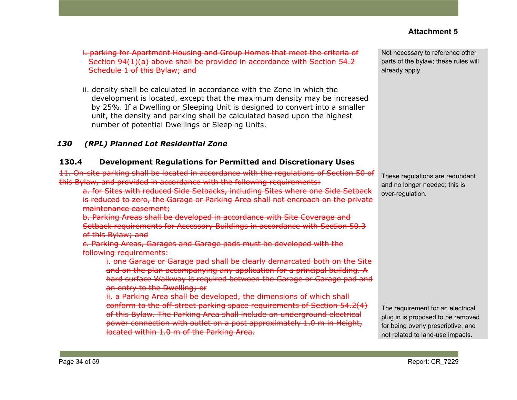i. parking for Apartment Housing and Group Homes that meet the criteria of Section 94(1)(a) above shall be provided in accordance with [Section](https://webdocs.edmonton.ca/InfraPlan/zoningbylaw/ZoningBylaw/Part1/Development/54_2_Schedule_1.htm) 54.2 [Schedule](https://webdocs.edmonton.ca/InfraPlan/zoningbylaw/ZoningBylaw/Part1/Development/54_2_Schedule_1.htm) 1 of this Bylaw; and

ii. density shall be calculated in accordance with the Zone in which the development is located, except that the maximum density may be increased by 25%. If a Dwelling or Sleeping Unit is designed to convert into a smaller unit, the density and parking shall be calculated based upon the highest number of potential Dwellings or Sleeping Units.

# *130 (RPL) Planned Lot Residential Zone*

#### **130.4 Development Regulations for Permitted and Discretionary Uses**

11. On-site parking shall be located in accordance with the regulations of [Section](https://webdocs.edmonton.ca/InfraPlan/zoningbylaw/ZoningBylaw/Part1/Development/50__Accessory_Uses_and_Buildings.htm) 50 of this Bylaw, and provided in accordance with the following requirements:

a. for Sites with reduced Side Setbacks, including Sites where one Side S is reduced to zero, the Garage or Parking Area shall not encroach on the private maintenance easement;

b. Parking Areas shall be developed in accordance with Site Coverage and Setback requirements for Accessory Buildings in accordance with Section 50.3 of this Bylaw; and

c. Parking Areas, Garages and Garage pads must be developed with the following requirements:

i. one Garage or Garage pad shall be clearly demarcated both on the Site and on the plan accompanying any application for a principal building. A hard surface Walkway is required between the Garage or Garage pad and an entry to the Dwelling; or

ii. a Parking Area shall be developed, the dimensions of which shall conform to the off-street parking space requirements of Section 54.2(4) of this Bylaw. The Parking Area shall include an underground electrical power connection with outlet on a post approximately 1.0 m in Height, located within 1.0 m of the Parking Area.

Not necessary to reference other parts of the bylaw; these rules will already apply.

These regulations are redundant and no longer needed; this is over-regulation.

The requirement for an electrical plug in is proposed to be removed for being overly prescriptive, and not related to land-use impacts.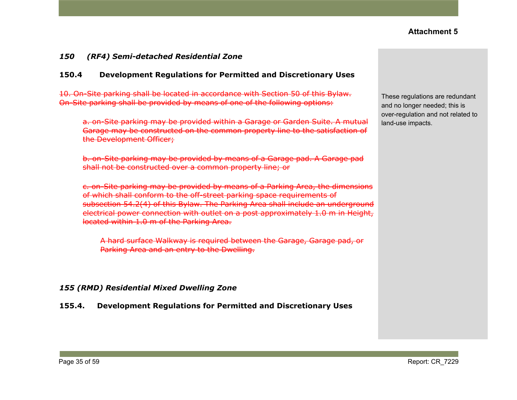#### *150 (RF4) Semi-detached Residential Zone*

#### **150.4 Development Regulations for Permitted and Discretionary Uses**

10. On-Site parking shall be located in accordance with Section 50 of this Bylaw. On-Site parking shall be provided by means of one of the following options:

a. on-Site parking may be provided within a Garage or Garden Suite. A mutual Garage may be constructed on the common property line to the satisfaction of the Development Officer;

b. on-Site parking may be provided by means of a Garage pad. A Garage pad shall not be constructed over a common property line; or

c. on-Site parking may be provided by means of a Parking Area, the dimensions of which shall conform to the off-street parking space requirements of subsection 54.2(4) of this Bylaw. The Parking Area shall include an underground electrical power connection with outlet on a post approximately 1.0 m in Height, located within 1.0 m of the Parking Area.

A hard surface Walkway is required between the Garage, Garage pad, or Parking Area and an entry to the Dwelling.

#### *155 (RMD) Residential Mixed Dwelling Zone*

**155.4. Development Regulations for Permitted and Discretionary Uses**

These regulations are redundant and no longer needed; this is over-regulation and not related to land-use impacts.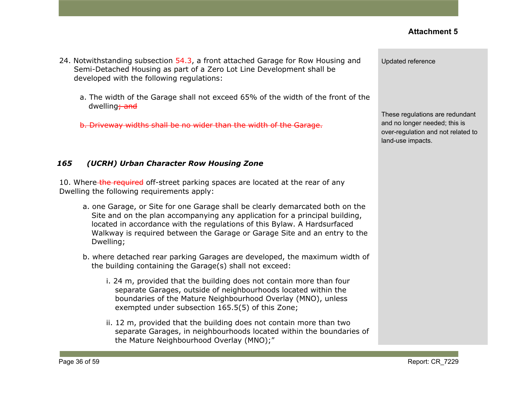- 24. Notwithstanding subsection 54.3, a front attached Garage for Row Housing and Semi-Detached Housing as part of a Zero Lot Line Development shall be developed with the following regulations:
	- a. The width of the Garage shall not exceed 65% of the width of the front of the dwelling<sub>7</sub> and

b. Driveway widths shall be no wider than the width of the Garage.

#### *165 (UCRH) Urban Character Row Housing Zone*

10. Where the required off-street parking spaces are located at the rear of any Dwelling the following requirements apply:

- a. one Garage, or Site for one Garage shall be clearly demarcated both on the Site and on the plan accompanying any application for a principal building, located in accordance with the regulations of this Bylaw. A Hardsurfaced Walkway is required between the Garage or Garage Site and an entry to the Dwelling;
- b. where detached rear parking Garages are developed, the maximum width of the building containing the Garage(s) shall not exceed:
	- i. 24 m, provided that the building does not contain more than four separate Garages, outside of neighbourhoods located within the boundaries of the Mature Neighbourhood Overlay (MNO), unless exempted under subsection 165.5(5) of this Zone;
	- ii. 12 m, provided that the building does not contain more than two separate Garages, in neighbourhoods located within the boundaries of the Mature Neighbourhood Overlay (MNO);"

Updated reference

These regulations are redundant and no longer needed; this is over-regulation and not related to land-use impacts.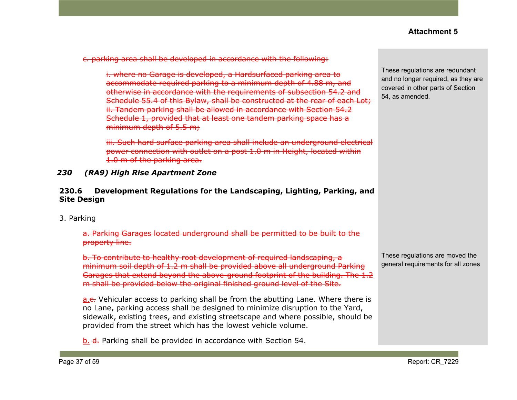c. parking area shall be developed in accordance with the following:

i. where no Garage is developed, a Hardsurfaced parking area to accommodate required parking to a minimum depth of 4.88 m, and otherwise in accordance with the requirements of subsection 54.2 and Schedule 55.4 of this Bylaw, shall be constructed at the rear of each Lot; ii. Tandem parking shall be allowed in accordance with Section 54.2 Schedule 1, provided that at least one tandem parking space has a minimum depth of 5.5 m;

iii. Such hard surface parking area shall include an underground electrical power connection with outlet on a post 1.0 m in Height, located within 1.0 m of the parking area.

*230 (RA9) High Rise Apartment Zone*

#### **230.6 Development Regulations for the Landscaping, Lighting, Parking, and Site Design**

3. Parking

a. Parking Garages located underground shall be permitted to be built to the property line.

b. To contribute to healthy root development of required landscaping, a minimum soil depth of 1.2 m shall be provided above all underground Parking Garages that extend beyond the above-ground footprint of the building. The 1.2 m shall be provided below the original finished ground level of the Site.

a.c. Vehicular access to parking shall be from the abutting Lane. Where there is no Lane, parking access shall be designed to minimize disruption to the Yard, sidewalk, existing trees, and existing streetscape and where possible, should be provided from the street which has the lowest vehicle volume.

b. d. Parking shall be provided in accordance with Section 54.

These regulations are redundant and no longer required, as they are covered in other parts of Section 54, as amended.

These regulations are moved the general requirements for all zones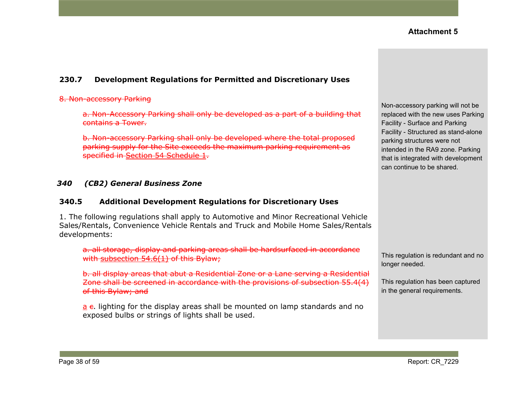## **230.7 Development Regulations for Permitted and Discretionary Uses**

#### 8. Non-accessory Parking

a. Non-Accessory Parking shall only be developed as a part of a building that contains a Tower.

b. Non-accessory Parking shall only be developed where the total proposed parking supply for the Site exceeds the maximum parking requirement as specified in Section 54 [Schedule](https://webdocs.edmonton.ca/InfraPlan/zoningbylaw/ZoningBylaw/Part1/Development/54__Parking__Loading_and_Passenger_Drop-off.htm) 1.

#### *340 (CB2) General Business Zone*

#### **340.5 Additional Development Regulations for Discretionary Uses**

1. The following regulations shall apply to Automotive and Minor Recreational Vehicle Sales/Rentals, Convenience Vehicle Rentals and Truck and Mobile Home Sales/Rentals developments:

a. all storage, display and parking areas shall be hardsurfaced in accordance with [subsection](https://webdocs.edmonton.ca/InfraPlan/zoningbylaw/ZoningBylaw/Part1/Development/54_6_Hardsurfacing_and_Curbing_of_Parking_and_Loading_Spaces.htm) 54.6(1) of this Bylaw;

b. all display areas that abut a Residential Zone or a Lane serving a Residential Zone shall be screened in accordance with the provisions of [subsection](https://webdocs.edmonton.ca/InfraPlan/zoningbylaw/ZoningBylaw/Part1/Development/55__Landscaping.htm) 55.4(4) of this Bylaw; and

 $a$  e. lighting for the display areas shall be mounted on lamp standards and no exposed bulbs or strings of lights shall be used.

Non-accessory parking will not be replaced with the new uses Parking Facility - Surface and Parking Facility - Structured as stand-alone parking structures were not intended in the RA9 zone. Parking that is integrated with development can continue to be shared.

This regulation is redundant and no longer needed.

This regulation has been captured in the general requirements.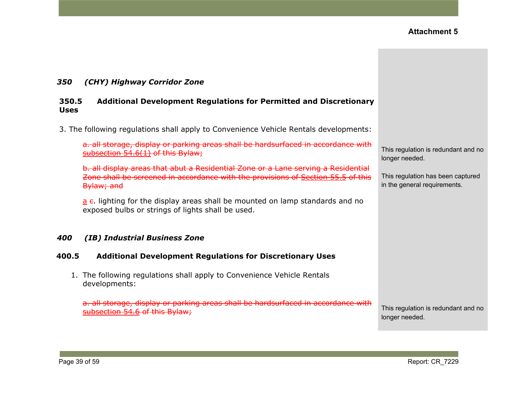#### *350 (CHY) Highway Corridor Zone*

#### **350.5 Additional Development Regulations for Permitted and Discretionary Uses**

3. The following regulations shall apply to Convenience Vehicle Rentals developments:

a. all storage, display or parking areas shall be hardsurfaced in accordance with [subsection](https://webdocs.edmonton.ca/InfraPlan/zoningbylaw/ZoningBylaw/Part1/Development/54_6_Hardsurfacing_and_Curbing_of_Parking_and_Loading_Spaces.htm)  $54.6(1)$  of this Bylaw;

b. all display areas that abut a Residential Zone or a Lane serving a Residential Zone shall be screened in accordance with the provisions of [Section](https://webdocs.edmonton.ca/InfraPlan/zoningbylaw/ZoningBylaw/Part1/Development/55__Landscaping.htm) 55.5 of this Bylaw; and

 $a$  e. lighting for the display areas shall be mounted on lamp standards and no exposed bulbs or strings of lights shall be used.

#### *400 (IB) Industrial Business Zone*

#### **400.5 Additional Development Regulations for Discretionary Uses**

1. The following regulations shall apply to Convenience Vehicle Rentals developments:

a. all storage, display or parking areas shall be hardsurfaced in accordance with [subsection](https://webdocs.edmonton.ca/InfraPlan/zoningbylaw/ZoningBylaw/Part1/Development/54_6_Hardsurfacing_and_Curbing_of_Parking_and_Loading_Spaces.htm) 54.6 of this Bylaw;

This regulation is redundant and no longer needed.

This regulation has been captured in the general requirements.

This regulation is redundant and no longer needed.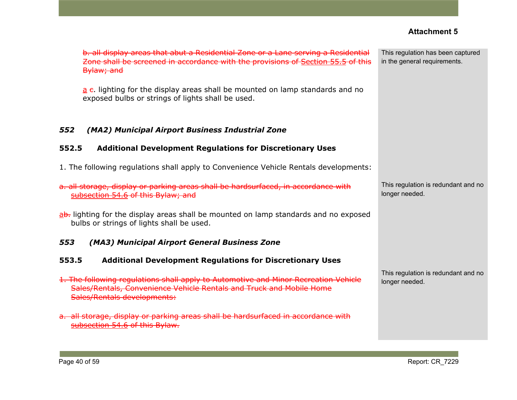|                                                                                                                                                                                                                                                                                                                             | <b>Attachment 5</b>                                               |
|-----------------------------------------------------------------------------------------------------------------------------------------------------------------------------------------------------------------------------------------------------------------------------------------------------------------------------|-------------------------------------------------------------------|
| b. all display areas that abut a Residential Zone or a Lane serving a Residential<br>Zone shall be screened in accordance with the provisions of Section 55.5 of this<br>Bylaw; and<br>$a$ e. lighting for the display areas shall be mounted on lamp standards and no<br>exposed bulbs or strings of lights shall be used. | This regulation has been captured<br>in the general requirements. |
| 552<br>(MA2) Municipal Airport Business Industrial Zone<br><b>Additional Development Regulations for Discretionary Uses</b><br>552.5                                                                                                                                                                                        |                                                                   |
|                                                                                                                                                                                                                                                                                                                             |                                                                   |
| 1. The following regulations shall apply to Convenience Vehicle Rentals developments:                                                                                                                                                                                                                                       |                                                                   |
| a. all storage, display or parking areas shall be hardsurfaced, in accordance with<br>subsection 54.6 of this Bylaw; and                                                                                                                                                                                                    | This regulation is redundant and no<br>longer needed.             |
| ab. lighting for the display areas shall be mounted on lamp standards and no exposed<br>bulbs or strings of lights shall be used.                                                                                                                                                                                           |                                                                   |
| 553<br>(MA3) Municipal Airport General Business Zone                                                                                                                                                                                                                                                                        |                                                                   |
| 553.5<br><b>Additional Development Regulations for Discretionary Uses</b>                                                                                                                                                                                                                                                   |                                                                   |
| 1. The following regulations shall apply to Automotive and Minor Recreation Vehicle<br>Sales/Rentals, Convenience Vehicle Rentals and Truck and Mobile Home<br>Sales/Rentals developments:                                                                                                                                  | This regulation is redundant and no<br>longer needed.             |
| a. all storage, display or parking areas shall be hardsurfaced in accordance with<br>subsection 54.6 of this Bylaw.                                                                                                                                                                                                         |                                                                   |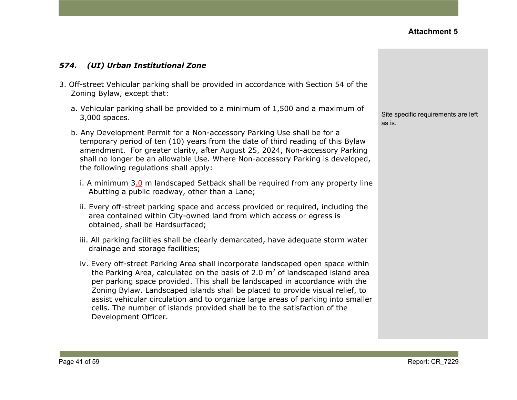#### *574. (UI) Urban Institutional Zone*

- 3. Off-street Vehicular parking shall be provided in accordance with Section 54 of the Zoning Bylaw, except that:
	- a. Vehicular parking shall be provided to a minimum of 1,500 and a maximum of 3,000 spaces.
	- b. Any Development Permit for a Non-accessory Parking Use shall be for a temporary period of ten (10) years from the date of third reading of this Bylaw amendment. For greater clarity, after August 25, 2024, Non-accessory Parking shall no longer be an allowable Use. Where Non-accessory Parking is developed, the following regulations shall apply:
		- i. A minimum 3.0 m landscaped Setback shall be required from any property line Abutting a public roadway, other than a Lane;
		- ii. Every off-street parking space and access provided or required, including the area contained within City-owned land from which access or egress is obtained, shall be Hardsurfaced;
		- iii. All parking facilities shall be clearly demarcated, have adequate storm water drainage and storage facilities;
		- iv. Every off-street Parking Area shall incorporate landscaped open space within the Parking Area, calculated on the basis of 2.0  $m<sup>2</sup>$  of landscaped island area per parking space provided. This shall be landscaped in accordance with the Zoning Bylaw. Landscaped islands shall be placed to provide visual relief, to assist vehicular circulation and to organize large areas of parking into smaller cells. The number of islands provided shall be to the satisfaction of the Development Officer.

Site specific requirements are left as is.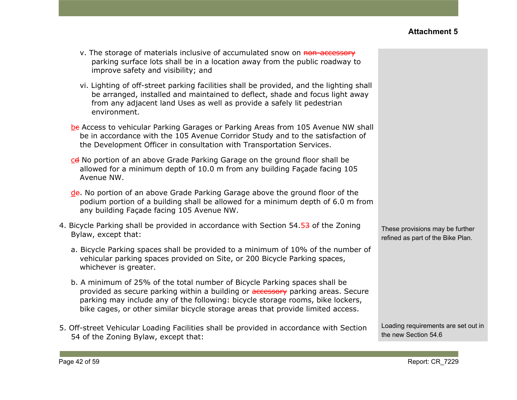| v. The storage of materials inclusive of accumulated snow on non-accessory  |
|-----------------------------------------------------------------------------|
| parking surface lots shall be in a location away from the public roadway to |
| improve safety and visibility; and                                          |

- vi. Lighting of off-street parking facilities shall be provided, and the lighting shall be arranged, installed and maintained to deflect, shade and focus light away from any adjacent land Uses as well as provide a safely lit pedestrian environment.
- be Access to vehicular Parking Garages or Parking Areas from 105 Avenue NW shall be in accordance with the 105 Avenue Corridor Study and to the satisfaction of the Development Officer in consultation with Transportation Services.
- cd No portion of an above Grade Parking Garage on the ground floor shall be allowed for a minimum depth of 10.0 m from any building Façade facing 105 Avenue NW.
- de. No portion of an above Grade Parking Garage above the ground floor of the podium portion of a building shall be allowed for a minimum depth of 6.0 m from any building Façade facing 105 Avenue NW.
- 4. Bicycle Parking shall be provided in accordance with Section 54.53 of the Zoning Bylaw, except that:
	- a. Bicycle Parking spaces shall be provided to a minimum of 10% of the number of vehicular parking spaces provided on Site, or 200 Bicycle Parking spaces, whichever is greater.
	- b. A minimum of 25% of the total number of Bicycle Parking spaces shall be provided as secure parking within a building or **accessory** parking areas. Secure parking may include any of the following: bicycle storage rooms, bike lockers, bike cages, or other similar bicycle storage areas that provide limited access.
- 5. Off-street Vehicular Loading Facilities shall be provided in accordance with Section 54 of the Zoning Bylaw, except that:

These provisions may be further refined as part of the Bike Plan.

Loading requirements are set out in the new Section 54.6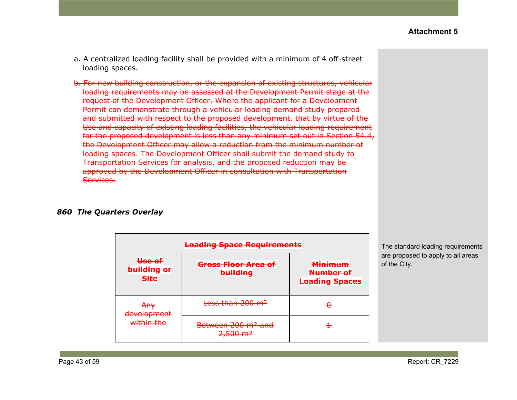- a. A centralized loading facility shall be provided with a minimum of 4 off-street loading spaces.
- b. For new building construction, or the expansion of existing structures, vehicular loading requirements may be assessed at the Development Permit stage at the request of the Development Officer. Where the applicant for a Development Permit can demonstrate through a vehicular loading demand study prepared and submitted with respect to the proposed development, that by virtue of the Use and capacity of existing loading facilities, the vehicular loading requirement for the proposed development is less than any minimum set out in Section 54.4, the Development Officer may allow a reduction from the minimum number of loading spaces. The Development Officer shall submit the demand study to Transportation Services for analysis, and the proposed reduction may be approved by the Development Officer in consultation with Transportation Services.

#### *860 The Quarters Overlay*

| <b>Loading Space Requirements</b>     |                                                                             |                                                      |  |
|---------------------------------------|-----------------------------------------------------------------------------|------------------------------------------------------|--|
| Use of<br>building or<br><b>Site</b>  | <del>Gross Floor Area of</del><br><b>building</b>                           | <b>Minimum</b><br>Number of<br><b>Loading Spaces</b> |  |
| <del>Any</del><br>dovolonmont         | Less than 200 m <sup>2</sup>                                                |                                                      |  |
| <del>uevelophient</del><br>within the | Between 200 m <sup>2</sup> and<br>$2.500 \text{ m}^2$<br><del>2,500 m</del> |                                                      |  |

The standard loading requirements are proposed to apply to all areas of the City.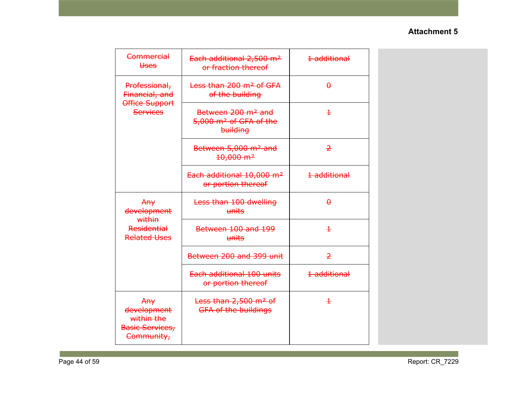| Commercial<br><b>Uses</b>                                         | Each additional 2,500 m <sup>2</sup><br>or fraction thereof                      | 1 additional   |  |
|-------------------------------------------------------------------|----------------------------------------------------------------------------------|----------------|--|
| Professional,<br>Financial, and                                   | Less than 200 m <sup>2</sup> of GFA<br>of the building                           | $\theta$       |  |
| Office Support<br><b>Services</b>                                 | Between 200 m <sup>2</sup> and<br>5,000 m <sup>2</sup> of GFA of the<br>building | $\pm$          |  |
|                                                                   | Between 5,000 m <sup>2</sup> and<br>$10,000 \text{ m}^2$                         | $\overline{2}$ |  |
|                                                                   | Each additional 10,000 m <sup>2</sup><br>or portion thereof                      | 1 additional   |  |
| Any<br>development<br>within                                      | Less than 100 dwelling<br>units                                                  | $\theta$       |  |
| <b>Residential</b><br><b>Related Uses</b>                         | Between 100 and 199<br>units                                                     | $\pm$          |  |
|                                                                   | Between 200 and 399 unit                                                         | $\overline{2}$ |  |
|                                                                   | Each additional 100 units<br>or portion thereof                                  | 1 additional   |  |
| Any<br>development<br>within the<br>Basic Services,<br>Community, | Less than 2,500 m <sup>2</sup> of<br><b>GFA of the buildings</b>                 | $\ddagger$     |  |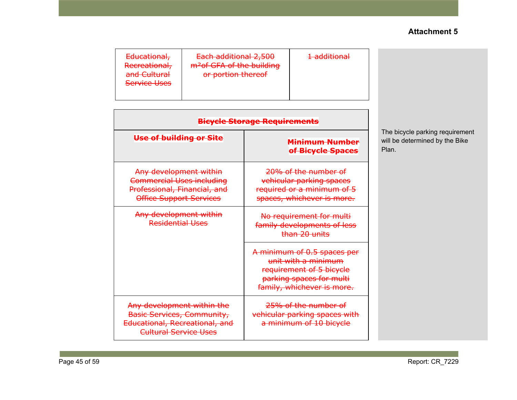| Each additional 2,500<br>1 additional<br>Educational,<br><del>1 duunumar</del><br>m <sup>2</sup> of GFA of the building<br>Recreational,<br>and Cultural<br>or portion thereof<br><b>Service Uses</b> |
|-------------------------------------------------------------------------------------------------------------------------------------------------------------------------------------------------------|
|-------------------------------------------------------------------------------------------------------------------------------------------------------------------------------------------------------|

| <b>Bicycle Storage Requirements</b>                                                                                          |                                                                                                                                          |  |  |
|------------------------------------------------------------------------------------------------------------------------------|------------------------------------------------------------------------------------------------------------------------------------------|--|--|
| Use of building or Site                                                                                                      | Minimum Number<br>of Bicycle Spaces                                                                                                      |  |  |
| Any development within<br><b>Commercial Uses including</b><br>Professional, Financial, and<br><b>Office Support Services</b> | 20% of the number of<br>vehicular parking spaces<br>required or a minimum of 5<br>spaces, whichever is more.                             |  |  |
| Any development within<br>Residential Uses                                                                                   | No requirement for multi<br>family developments of less<br>than 20 units                                                                 |  |  |
|                                                                                                                              | A minimum of 0.5 spaces per<br>unit with a minimum<br>requirement of 5 bicycle<br>parking spaces for multi<br>family, whichever is more. |  |  |
| Any development within the<br><b>Basic Services, Community,</b><br>Educational, Recreational, and<br>Cultural Service Uses   | 25% of the number of<br>vehicular parking spaces with<br>a minimum of 10 bicycle                                                         |  |  |

The bicycle parking requirement will be determined by the Bike Plan.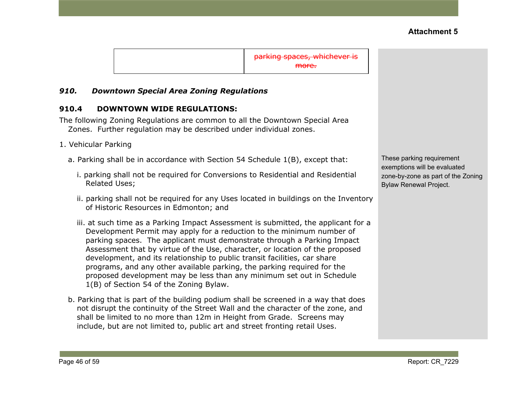parking spaces, whichever is more.

#### *910. Downtown Special Area Zoning Regulations*

#### **910.4 DOWNTOWN WIDE REGULATIONS:**

The following Zoning Regulations are common to all the Downtown Special Area Zones. Further regulation may be described under individual zones.

- 1. Vehicular Parking
	- a. Parking shall be in accordance with Section 54 Schedule 1(B), except that:
		- i. parking shall not be required for Conversions to Residential and Residential Related Uses;
		- ii. parking shall not be required for any Uses located in buildings on the Inventory of Historic Resources in Edmonton; and
		- iii. at such time as a Parking Impact Assessment is submitted, the applicant for a Development Permit may apply for a reduction to the minimum number of parking spaces. The applicant must demonstrate through a Parking Impact Assessment that by virtue of the Use, character, or location of the proposed development, and its relationship to public transit facilities, car share programs, and any other available parking, the parking required for the proposed development may be less than any minimum set out in Schedule 1(B) of [Section](https://webdocs.edmonton.ca/InfraPlan/zoningbylaw/ZoningBylaw/Part1/Development/54__Parking__Loading_and_Passenger_Drop-off.htm) 54 of the Zoning Bylaw.
	- b. Parking that is part of the building podium shall be screened in a way that does not disrupt the continuity of the Street Wall and the character of the zone, and shall be limited to no more than 12m in Height from Grade. Screens may include, but are not limited to, public art and street fronting retail Uses.

These parking requirement exemptions will be evaluated zone-by-zone as part of the Zoning Bylaw Renewal Project.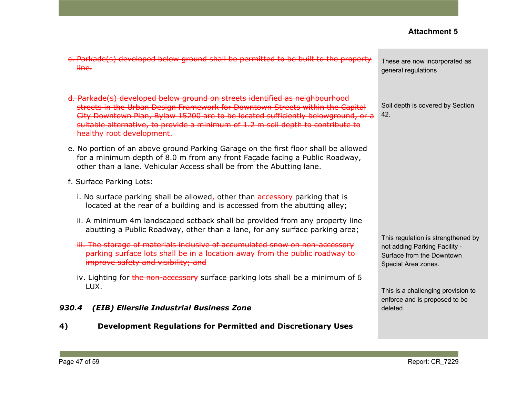| c. Parkade(s) developed below ground shall be permitted to be built to the property<br>line.                                                                                                                                                                                                                                                                     | These are now incorporated as<br>general regulations                                                                    |
|------------------------------------------------------------------------------------------------------------------------------------------------------------------------------------------------------------------------------------------------------------------------------------------------------------------------------------------------------------------|-------------------------------------------------------------------------------------------------------------------------|
| d. Parkade(s) developed below ground on streets identified as neighbourhood<br>streets in the Urban Design Framework for Downtown Streets within the Capital<br>City Downtown Plan, Bylaw 15200 are to be located sufficiently belowground, or a<br>suitable alternative, to provide a minimum of 1.2 m soil depth to contribute to<br>healthy root development. | Soil depth is covered by Section<br>42.                                                                                 |
| e. No portion of an above ground Parking Garage on the first floor shall be allowed<br>for a minimum depth of 8.0 m from any front Façade facing a Public Roadway,<br>other than a lane. Vehicular Access shall be from the Abutting lane.                                                                                                                       |                                                                                                                         |
| f. Surface Parking Lots:                                                                                                                                                                                                                                                                                                                                         |                                                                                                                         |
| i. No surface parking shall be allowed, other than accessory parking that is<br>located at the rear of a building and is accessed from the abutting alley;                                                                                                                                                                                                       |                                                                                                                         |
| ii. A minimum 4m landscaped setback shall be provided from any property line<br>abutting a Public Roadway, other than a lane, for any surface parking area;                                                                                                                                                                                                      |                                                                                                                         |
| iii. The storage of materials inclusive of accumulated snow on non-accessory<br>parking surface lots shall be in a location away from the public roadway to<br>improve safety and visibility; and                                                                                                                                                                | This regulation is strengthened by<br>not adding Parking Facility -<br>Surface from the Downtown<br>Special Area zones. |
| iv. Lighting for the non-accessory surface parking lots shall be a minimum of 6                                                                                                                                                                                                                                                                                  |                                                                                                                         |
| LUX.<br>(EIB) Ellerslie Industrial Business Zone<br>930.4                                                                                                                                                                                                                                                                                                        | This is a challenging provision to<br>enforce and is proposed to be<br>deleted.                                         |

**4) Development Regulations for Permitted and Discretionary Uses**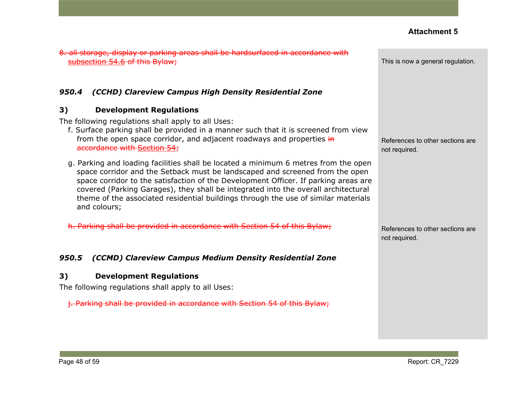8. all storage, display or parking areas shall be hardsurfaced in accordance with [subsection](https://webdocs.edmonton.ca/InfraPlan/zoningbylaw/ZoningBylaw/Part1/Development/54__Parking__Loading_and_Passenger_Drop-off.htm) 54.6 of this Bylaw;

#### *950.4 (CCHD) Clareview Campus High Density Residential Zone*

#### **3) Development Regulations**

The following regulations shall apply to all Uses:

- f. Surface parking shall be provided in a manner such that it is screened from view from the open space corridor, and adjacent roadways and properties in accordance with [Section](https://webdocs.edmonton.ca/InfraPlan/zoningbylaw/ZoningBylaw/Part1/Development/54__Parking__Loading_and_Passenger_Drop-off.htm) 54;
- g. Parking and loading facilities shall be located a minimum 6 metres from the open space corridor and the Setback must be landscaped and screened from the open space corridor to the satisfaction of the Development Officer. If parking areas are covered (Parking Garages), they shall be integrated into the overall architectural theme of the associated residential buildings through the use of similar materials and colours;

h. Parking shall be provided in accordance with Section 54 of this Bylaw;

#### *950.5 (CCMD) Clareview Campus Medium Density Residential Zone*

#### **3) Development Regulations**

The following regulations shall apply to all Uses:

j. Parking shall be provided in accordance with [Section](https://webdocs.edmonton.ca/InfraPlan/zoningbylaw/ZoningBylaw/Part1/Development/54__Parking__Loading_and_Passenger_Drop-off.htm) 54 of this Bylaw;

This is now a general regulation.

References to other sections are not required.

References to other sections are not required.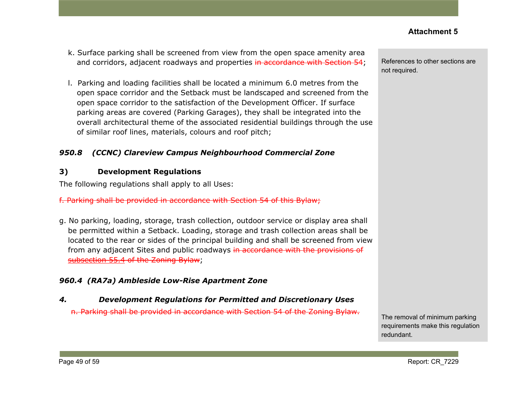- k. Surface parking shall be screened from view from the open space amenity area and corridors, adjacent roadways and properties in accordance with Section 54;
- l. Parking and loading facilities shall be located a minimum 6.0 metres from the open space corridor and the Setback must be landscaped and screened from the open space corridor to the satisfaction of the Development Officer. If surface parking areas are covered (Parking Garages), they shall be integrated into the overall architectural theme of the associated residential buildings through the use of similar roof lines, materials, colours and roof pitch;

# *950.8 (CCNC) Clareview Campus Neighbourhood Commercial Zone*

# **3) Development Regulations**

The following regulations shall apply to all Uses:

f. Parking shall be provided in accordance with Section 54 of this Bylaw;

g. No parking, loading, storage, trash collection, outdoor service or display area shall be permitted within a Setback. Loading, storage and trash collection areas shall be located to the rear or sides of the principal building and shall be screened from view from any adjacent Sites and public roadways in accordance with the provisions of [subsection](https://webdocs.edmonton.ca/InfraPlan/zoningbylaw/ZoningBylaw/Part1/Development/55__Landscaping.htm) 55.4 of the Zoning Bylaw;

# *960.4 (RA7a) Ambleside Low-Rise Apartment Zone*

# *4. Development Regulations for Permitted and Discretionary Uses*

n. Parking shall be provided in accordance with Section 54 of the Zoning Bylaw.

References to other sections are not required.

The removal of minimum parking requirements make this regulation redundant.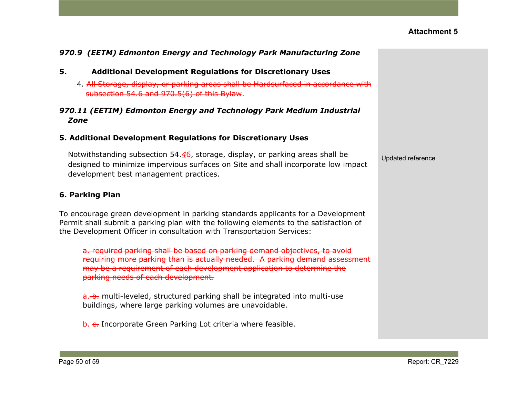| 970.9 (EETM) Edmonton Energy and Technology Park Manufacturing Zone                                                                                                                                                                                                     |                   |
|-------------------------------------------------------------------------------------------------------------------------------------------------------------------------------------------------------------------------------------------------------------------------|-------------------|
| 5.<br><b>Additional Development Regulations for Discretionary Uses</b>                                                                                                                                                                                                  |                   |
| 4. All Storage, display, or parking areas shall be Hardsurfaced in accordance with<br>subsection 54.6 and 970.5(6) of this Bylaw.                                                                                                                                       |                   |
| 970.11 (EETIM) Edmonton Energy and Technology Park Medium Industrial<br>Zone                                                                                                                                                                                            |                   |
| 5. Additional Development Regulations for Discretionary Uses                                                                                                                                                                                                            |                   |
| Notwithstanding subsection 54. $46$ , storage, display, or parking areas shall be<br>designed to minimize impervious surfaces on Site and shall incorporate low impact<br>development best management practices.                                                        | Updated reference |
| 6. Parking Plan                                                                                                                                                                                                                                                         |                   |
| To encourage green development in parking standards applicants for a Development<br>Permit shall submit a parking plan with the following elements to the satisfaction of<br>the Development Officer in consultation with Transportation Services:                      |                   |
| a. required parking shall be based on parking demand objectives, to avoid<br>requiring more parking than is actually needed. A parking demand assessment<br>may be a requirement of each development application to determine the<br>parking needs of each development. |                   |
| a. b. multi-leveled, structured parking shall be integrated into multi-use<br>buildings, where large parking volumes are unavoidable.                                                                                                                                   |                   |
| b. e. Incorporate Green Parking Lot criteria where feasible.                                                                                                                                                                                                            |                   |
|                                                                                                                                                                                                                                                                         |                   |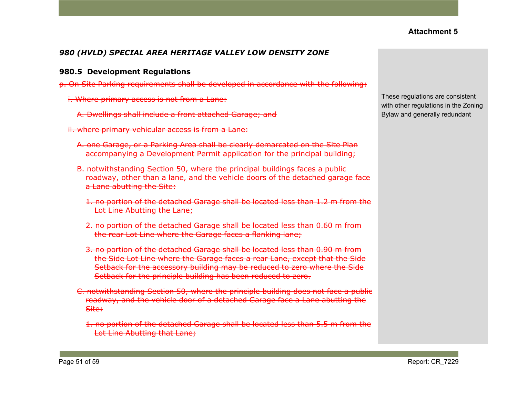# *980 (HVLD) SPECIAL AREA HERITAGE VALLEY LOW DENSITY ZONE*

#### **980.5 Development Regulations**

- p. On Site Parking requirements shall be developed in accordance with the following:
	- i. Where primary access is not from a Lane:
		- A. Dwellings shall include a front attached Garage; and
	- ii. where primary vehicular access is from a Lane:
		- A. one Garage, or a Parking Area shall be clearly demarcated on the Site Plan accompanying a Development Permit application for the principal building;
		- B. notwithstanding Section 50, where the principal buildings faces a public roadway, other than a lane, and the vehicle doors of the detached garage face a Lane abutting the Site:
			- 1. no portion of the detached Garage shall be located less than 1.2 m from the Lot Line Abutting the Lane;
			- 2. no portion of the detached Garage shall be located less than 0.60 m from the rear Lot Line where the Garage faces a flanking lane;
			- 3. no portion of the detached Garage shall be located less than 0.90 m from the Side Lot Line where the Garage faces a rear Lane, except that the Side Setback for the accessory building may be reduced to zero where the Side Setback for the principle building has been reduced to zero.
		- C. notwithstanding Section 50, where the principle building does not face a public roadway, and the vehicle door of a detached Garage face a Lane abutting the Site:
			- 1. no portion of the detached Garage shall be located less than 5.5 m from the Lot Line Abutting that Lane;

These regulations are consistent with other regulations in the Zoning Bylaw and generally redundant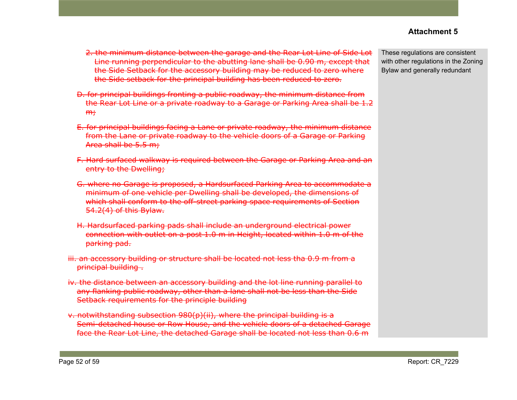- 2. the minimum distance between the garage and the Rear Lot Line of Side Lot Line running perpendicular to the abutting lane shall be 0.90 m, except that the Side Setback for the accessory building may be reduced to zero where the Side setback for the principal building has been reduced to zero.
- D. for principal buildings fronting a public roadway, the minimum distance from the Rear Lot Line or a private roadway to a Garage or Parking Area shall be 1.2  $m<sub>r</sub>$
- E. for principal buildings facing a Lane or private roadway, the minimum distance from the Lane or private roadway to the vehicle doors of a Garage or Parking Area shall be 5.5 m;
- F. Hard surfaced walkway is required between the Garage or Parking Area and an entry to the Dwelling;
- G. where no Garage is proposed, a Hardsurfaced Parking Area to accommodate a minimum of one vehicle per Dwelling shall be developed, the dimensions of which shall conform to the off-street parking space requirements of Section 54.2(4) of this Bylaw.
- H. Hardsurfaced parking pads shall include an underground electrical power connection with outlet on a post 1.0 m in Height, located within 1.0 m of the parking pad.
- iii. an accessory building or structure shall be located not less tha 0.9 m from a principal building .
- iv. the distance between an accessory building and the lot line running parallel to any flanking public roadway, other than a lane shall not be less than the Side Setback requirements for the principle building
- v. notwithstanding subsection 980(p)(ii), where the principal building is a Semi-detached house or Row House, and the vehicle doors of a detached Garage face the Rear Lot Line, the detached Garage shall be located not less than 0.6 m

These regulations are consistent with other regulations in the Zoning Bylaw and generally redundant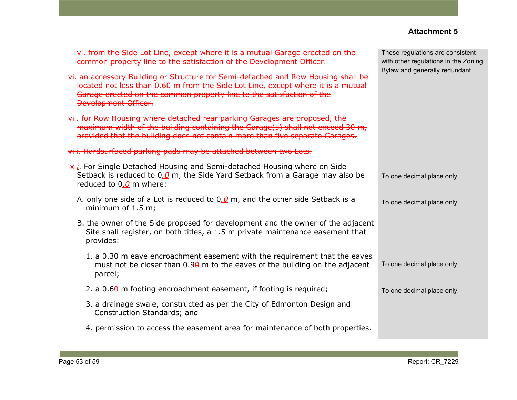| vi. from the Side Lot Line, except where it is a mutual Garage erected on the<br>common property line to the satisfaction of the Development Officer.                                                                                                                         | These regulations are consistent<br>with other regulations in the Zoning |
|-------------------------------------------------------------------------------------------------------------------------------------------------------------------------------------------------------------------------------------------------------------------------------|--------------------------------------------------------------------------|
| vi. an accessory Building or Structure for Semi-detached and Row Housing shall be<br>located not less than 0.60 m from the Side Lot Line, except where it is a mutual<br>Garage erected on the common property line to the satisfaction of the<br><b>Development Officer.</b> | Bylaw and generally redundant                                            |
| vii. for Row Housing where detached rear parking Garages are proposed, the<br>maximum width of the building containing the Garage(s) shall not exceed 30 m,<br>provided that the building does not contain more than five separate Garages.                                   |                                                                          |
| viii. Hardsurfaced parking pads may be attached between two Lots.                                                                                                                                                                                                             |                                                                          |
| $\frac{dx}{i}$ . For Single Detached Housing and Semi-detached Housing where on Side<br>Setback is reduced to $0.0$ m, the Side Yard Setback from a Garage may also be<br>reduced to $0.0$ m where:                                                                           | To one decimal place only.                                               |
| A. only one side of a Lot is reduced to $0.0$ m, and the other side Setback is a<br>minimum of $1.5$ m;                                                                                                                                                                       | To one decimal place only.                                               |
| B. the owner of the Side proposed for development and the owner of the adjacent<br>Site shall register, on both titles, a 1.5 m private maintenance easement that<br>provides:                                                                                                |                                                                          |
| 1. a 0.30 m eave encroachment easement with the requirement that the eaves<br>must not be closer than $0.90$ m to the eaves of the building on the adjacent<br>parcel;                                                                                                        | To one decimal place only.                                               |
| 2. a $0.6\theta$ m footing encroachment easement, if footing is required;                                                                                                                                                                                                     | To one decimal place only.                                               |
| 3. a drainage swale, constructed as per the City of Edmonton Design and<br>Construction Standards; and                                                                                                                                                                        |                                                                          |
| 4. permission to access the easement area for maintenance of both properties.                                                                                                                                                                                                 |                                                                          |
|                                                                                                                                                                                                                                                                               |                                                                          |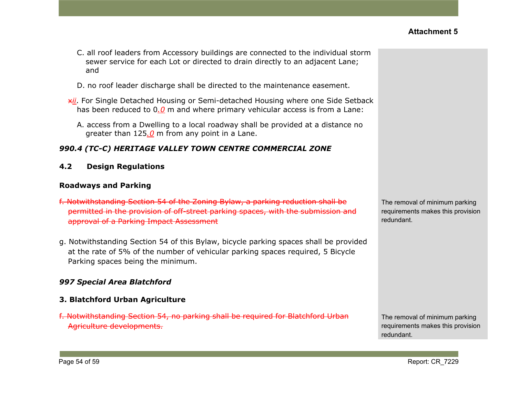- C. all roof leaders from Accessory buildings are connected to the individual storm sewer service for each Lot or directed to drain directly to an adjacent Lane; and
- D. no roof leader discharge shall be directed to the maintenance easement.
- x*ii*. For Single Detached Housing or Semi-detached Housing where one Side Setback has been reduced to 0*.0* m and where primary vehicular access is from a Lane:
	- A. access from a Dwelling to a local roadway shall be provided at a distance no greater than 125*.0* m from any point in a Lane.

# *990.4 (TC-C) HERITAGE VALLEY TOWN CENTRE COMMERCIAL ZONE*

**4.2 Design Regulations**

## **Roadways and Parking**

- f. Notwithstanding Section 54 of the Zoning Bylaw, a parking reduction shall be permitted in the provision of off-street parking spaces, with the submission and approval of a Parking Impact Assessment
- g. Notwithstanding Section 54 of this Bylaw, bicycle parking spaces shall be provided at the rate of 5% of the number of vehicular parking spaces required, 5 Bicycle Parking spaces being the minimum.

# *997 Special Area Blatchford*

# **3. Blatchford Urban Agriculture**

f. Notwithstanding Section 54, no parking shall be required for Blatchford Urban Agriculture developments.

The removal of minimum parking requirements makes this provision redundant.

The removal of minimum parking requirements makes this provision redundant.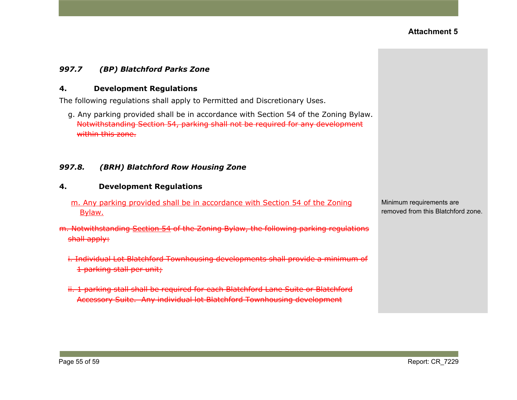## *997.7 (BP) Blatchford Parks Zone*

#### **4. Development Regulations**

The following regulations shall apply to Permitted and Discretionary Uses.

g. Any parking provided shall be in accordance with Section 54 of the Zoning Bylaw. Notwithstanding Section 54, parking shall not be required for any development within this zone.

#### *997.8. (BRH) Blatchford Row Housing Zone*

#### **4. Development Regulations**

- m. Any parking provided shall be in accordance with Section 54 of the Zoning Bylaw.
- m. Notwithstanding [Section](https://webdocs.edmonton.ca/InfraPlan/zoningbylaw/ZoningBylaw/Part1/Development/54__Parking__Loading_and_Passenger_Drop-off.htm) 54 of the Zoning Bylaw, the following parking regulations shall apply:
	- i. Individual Lot Blatchford Townhousing developments shall provide a minimum of 1 parking stall per unit;
	- ii. 1 parking stall shall be required for each Blatchford Lane Suite or Blatchford Accessory Suite. Any individual lot Blatchford Townhousing development

Minimum requirements are removed from this Blatchford zone.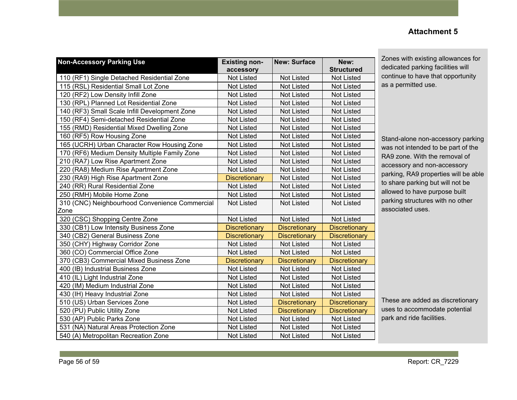#### **Non-Accessory Parking Use Existing nonaccessory New: Surface New: Structured** 110 (RF1) Single Detached Residential Zone | Not Listed | Not Listed | Not Listed 115 (RSL) Residential Small Lot Zone Not Listed Not Listed Not Listed Not Listed 120 (RF2) Low Density Infill Zone Not Listed Not Listed Not Listed Not Listed Not Listed 130 (RPL) Planned Lot Residential Zone Not Listed Not Listed Not Listed Not Listed 140 (RF3) Small Scale Infill Development Zone Not Listed Not Listed Not Listed Not Listed 150 (RF4) Semi-detached Residential Zone Not Listed Not Listed Not Listed Not Listed 155 (RMD) Residential Mixed Dwelling Zone | Not Listed | Not Listed | Not Listed 160 (RF5) Row Housing Zone Not Listed Not Listed Not Listed Not Listed Not Listed 165 (UCRH) Urban Character Row Housing Zone | Not Listed | Not Listed | Not Listed 170 (RF6) Medium Density Multiple Family Zone | Not Listed | Not Listed | Not Listed 210 (RA7) Low Rise Apartment Zone Not Listed Not Listed Not Listed Not Listed 220 (RA8) Medium Rise Apartment Zone Not Listed Not Listed Not Listed Not Listed 230 (RA9) High Rise Apartment Zone **Discretionary Not Listed Not Listed** Not Listed 240 (RR) Rural Residential Zone Not Not Listed Not Listed Not Listed Not Listed 250 (RMH) Mobile Home Zone Not Listed Not Listed Not Listed Not Listed Not Listed 310 (CNC) Neighbourhood Convenience Commercial Zone Not Listed | Not Listed | Not Listed 320 (CSC) Shopping Centre Zone Not Listed Not Listed Not Listed Not Listed 330 (CB1) Low Intensity Business Zone **Discretionary Discretionary Discretionary Discretionary** 340 (CB2) General Business Zone **Discretionary | Discretionary | Discretionary | Discretionary** 350 (CHY) Highway Corridor Zone Not Listed Not Listed Not Listed Not Listed Not Listed 360 (CO) Commercial Office Zone Not Listed Not Listed Not Listed Not Listed 370 (CB3) Commercial Mixed Business Zone Discretionary Discretionary Discretionary Discretionary 400 (IB) Industrial Business Zone Not Listed Not Listed Not Listed Not Listed Not Listed 410 (IL) Light Industrial Zone Not Listed Not Listed Not Listed Not Listed Not Listed 420 (IM) Medium Industrial Zone Notcomes Not Listed Not Listed Not Listed Not Listed 430 (IH) Heavy Industrial Zone Not Not Listed Not Listed Not Listed Not Listed 510 (US) Urban Services Zone Not Listed **Discretionary Discretionary** Discretionary Discretionary 520 (PU) Public Utility Zone Not Listed **Discretionary Discretionary Discretionary** Discretionary 530 (AP) Public Parks Zone Not Not Listed Not Listed Not Listed Not Listed Not Listed 531 (NA) Natural Areas Protection Zone Not Listed Not Listed Not Listed Not Listed

540 (A) Metropolitan Recreation Zone Not Listed Not Listed Not Listed Not Listed

# Zones with existing allowances for dedicated parking facilities will continue to have that opportunity

as a permitted use.

Stand-alone non-accessory parking was not intended to be part of the RA9 zone. With the removal of accessory and non-accessory parking, RA9 properties will be able to share parking but will not be allowed to have purpose built parking structures with no other associated uses.

These are added as discretionary uses to accommodate potential park and ride facilities.

# **Attachment 5**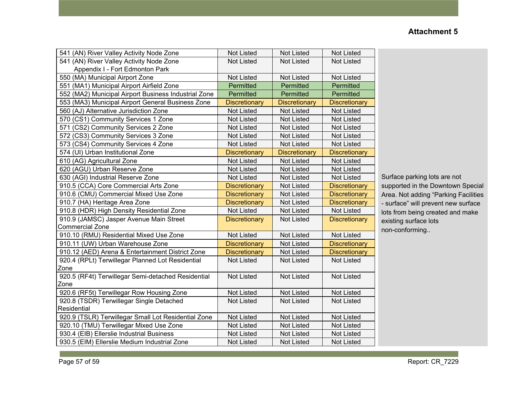| 541 (AN) River Valley Activity Node Zone             | <b>Not Listed</b>    | <b>Not Listed</b>    | <b>Not Listed</b>    |
|------------------------------------------------------|----------------------|----------------------|----------------------|
| 541 (AN) River Valley Activity Node Zone             | <b>Not Listed</b>    | <b>Not Listed</b>    | Not Listed           |
| Appendix I - Fort Edmonton Park                      |                      |                      |                      |
| 550 (MA) Municipal Airport Zone                      | <b>Not Listed</b>    | <b>Not Listed</b>    | <b>Not Listed</b>    |
| 551 (MA1) Municipal Airport Airfield Zone            | Permitted            | Permitted            | Permitted            |
| 552 (MA2) Municipal Airport Business Industrial Zone | Permitted            | Permitted            | Permitted            |
| 553 (MA3) Municipal Airport General Business Zone    | <b>Discretionary</b> | <b>Discretionary</b> | <b>Discretionary</b> |
| 560 (AJ) Alternative Jurisdiction Zone               | <b>Not Listed</b>    | <b>Not Listed</b>    | <b>Not Listed</b>    |
| 570 (CS1) Community Services 1 Zone                  | <b>Not Listed</b>    | <b>Not Listed</b>    | <b>Not Listed</b>    |
| 571 (CS2) Community Services 2 Zone                  | <b>Not Listed</b>    | <b>Not Listed</b>    | <b>Not Listed</b>    |
| 572 (CS3) Community Services 3 Zone                  | <b>Not Listed</b>    | <b>Not Listed</b>    | <b>Not Listed</b>    |
| 573 (CS4) Community Services 4 Zone                  | <b>Not Listed</b>    | <b>Not Listed</b>    | <b>Not Listed</b>    |
| 574 (UI) Urban Institutional Zone                    | <b>Discretionary</b> | <b>Discretionary</b> | <b>Discretionary</b> |
| 610 (AG) Agricultural Zone                           | <b>Not Listed</b>    | <b>Not Listed</b>    | <b>Not Listed</b>    |
| 620 (AGU) Urban Reserve Zone                         | <b>Not Listed</b>    | <b>Not Listed</b>    | <b>Not Listed</b>    |
| 630 (AGI) Industrial Reserve Zone                    | <b>Not Listed</b>    | <b>Not Listed</b>    | <b>Not Listed</b>    |
| 910.5 (CCA) Core Commercial Arts Zone                | <b>Discretionary</b> | <b>Not Listed</b>    | <b>Discretionary</b> |
| 910.6 (CMU) Commercial Mixed Use Zone                | <b>Discretionary</b> | <b>Not Listed</b>    | <b>Discretionary</b> |
| 910.7 (HA) Heritage Area Zone                        | <b>Discretionary</b> | <b>Not Listed</b>    | <b>Discretionary</b> |
| 910.8 (HDR) High Density Residential Zone            | <b>Not Listed</b>    | <b>Not Listed</b>    | <b>Not Listed</b>    |
| 910.9 (JAMSC) Jasper Avenue Main Street              | <b>Discretionary</b> | <b>Not Listed</b>    | <b>Discretionary</b> |
| Commercial Zone                                      |                      |                      |                      |
| 910.10 (RMU) Residential Mixed Use Zone              | Not Listed           | <b>Not Listed</b>    | Not Listed           |
| 910.11 (UW) Urban Warehouse Zone                     | <b>Discretionary</b> | <b>Not Listed</b>    | <b>Discretionary</b> |
| 910.12 (AED) Arena & Entertainment District Zone     | <b>Discretionary</b> | <b>Not Listed</b>    | <b>Discretionary</b> |
| 920.4 (RPLt) Terwillegar Planned Lot Residential     | <b>Not Listed</b>    | <b>Not Listed</b>    | <b>Not Listed</b>    |
| Zone                                                 |                      |                      |                      |
| 920.5 (RF4t) Terwillegar Semi-detached Residential   | <b>Not Listed</b>    | <b>Not Listed</b>    | <b>Not Listed</b>    |
| Zone                                                 |                      |                      |                      |
| 920.6 (RF5t) Terwillegar Row Housing Zone            | <b>Not Listed</b>    | <b>Not Listed</b>    | <b>Not Listed</b>    |
| 920.8 (TSDR) Terwillegar Single Detached             | <b>Not Listed</b>    | <b>Not Listed</b>    | <b>Not Listed</b>    |
| Residential                                          |                      |                      |                      |
| 920.9 (TSLR) Terwillegar Small Lot Residential Zone  | <b>Not Listed</b>    | <b>Not Listed</b>    | <b>Not Listed</b>    |
| 920.10 (TMU) Terwillegar Mixed Use Zone              | <b>Not Listed</b>    | <b>Not Listed</b>    | <b>Not Listed</b>    |
| 930.4 (EIB) Ellerslie Industrial Business            | Not Listed           | Not Listed           | Not Listed           |
| 930.5 (EIM) Ellerslie Medium Industrial Zone         | <b>Not Listed</b>    | <b>Not Listed</b>    | <b>Not Listed</b>    |

Surface parking lots are not supported in the Downtown Special Area. Not adding "Parking Facilities - surface" will prevent new surface lots from being created and make existing surface lots non-conforming..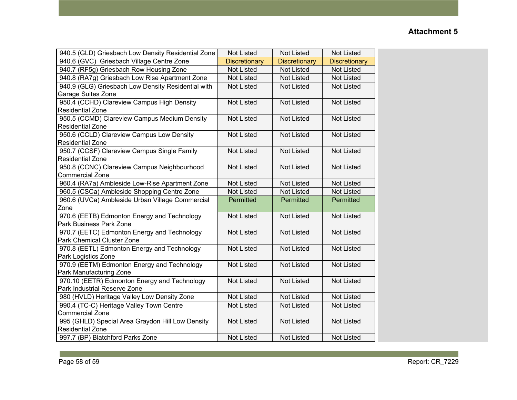| 940.5 (GLD) Griesbach Low Density Residential Zone | <b>Not Listed</b>    | <b>Not Listed</b>    | <b>Not Listed</b>    |
|----------------------------------------------------|----------------------|----------------------|----------------------|
| 940.6 (GVC) Griesbach Village Centre Zone          | <b>Discretionary</b> | <b>Discretionary</b> | <b>Discretionary</b> |
| 940.7 (RF5g) Griesbach Row Housing Zone            | <b>Not Listed</b>    | <b>Not Listed</b>    | <b>Not Listed</b>    |
| 940.8 (RA7g) Griesbach Low Rise Apartment Zone     | Not Listed           | <b>Not Listed</b>    | <b>Not Listed</b>    |
| 940.9 (GLG) Griesbach Low Density Residential with | <b>Not Listed</b>    | <b>Not Listed</b>    | <b>Not Listed</b>    |
| Garage Suites Zone                                 |                      |                      |                      |
| 950.4 (CCHD) Clareview Campus High Density         | <b>Not Listed</b>    | <b>Not Listed</b>    | <b>Not Listed</b>    |
| Residential Zone                                   |                      |                      |                      |
| 950.5 (CCMD) Clareview Campus Medium Density       | Not Listed           | <b>Not Listed</b>    | <b>Not Listed</b>    |
| <b>Residential Zone</b>                            |                      |                      |                      |
| 950.6 (CCLD) Clareview Campus Low Density          | <b>Not Listed</b>    | <b>Not Listed</b>    | <b>Not Listed</b>    |
| <b>Residential Zone</b>                            |                      |                      |                      |
| 950.7 (CCSF) Clareview Campus Single Family        | Not Listed           | <b>Not Listed</b>    | <b>Not Listed</b>    |
| <b>Residential Zone</b>                            |                      |                      |                      |
| 950.8 (CCNC) Clareview Campus Neighbourhood        | <b>Not Listed</b>    | <b>Not Listed</b>    | <b>Not Listed</b>    |
| <b>Commercial Zone</b>                             |                      |                      |                      |
| 960.4 (RA7a) Ambleside Low-Rise Apartment Zone     | <b>Not Listed</b>    | <b>Not Listed</b>    | <b>Not Listed</b>    |
| 960.5 (CSCa) Ambleside Shopping Centre Zone        | Not Listed           | <b>Not Listed</b>    | <b>Not Listed</b>    |
| 960.6 (UVCa) Ambleside Urban Village Commercial    | Permitted            | Permitted            | Permitted            |
| Zone                                               |                      |                      |                      |
| 970.6 (EETB) Edmonton Energy and Technology        | <b>Not Listed</b>    | <b>Not Listed</b>    | <b>Not Listed</b>    |
| Park Business Park Zone                            |                      |                      |                      |
| 970.7 (EETC) Edmonton Energy and Technology        | <b>Not Listed</b>    | <b>Not Listed</b>    | <b>Not Listed</b>    |
| Park Chemical Cluster Zone                         |                      |                      |                      |
| 970.8 (EETL) Edmonton Energy and Technology        | <b>Not Listed</b>    | <b>Not Listed</b>    | <b>Not Listed</b>    |
| Park Logistics Zone                                |                      |                      |                      |
| 970.9 (EETM) Edmonton Energy and Technology        | <b>Not Listed</b>    | <b>Not Listed</b>    | <b>Not Listed</b>    |
| Park Manufacturing Zone                            |                      |                      |                      |
| 970.10 (EETR) Edmonton Energy and Technology       | <b>Not Listed</b>    | <b>Not Listed</b>    | <b>Not Listed</b>    |
| Park Industrial Reserve Zone                       |                      |                      |                      |
| 980 (HVLD) Heritage Valley Low Density Zone        | <b>Not Listed</b>    | <b>Not Listed</b>    | <b>Not Listed</b>    |
| 990.4 (TC-C) Heritage Valley Town Centre           | <b>Not Listed</b>    | <b>Not Listed</b>    | <b>Not Listed</b>    |
| <b>Commercial Zone</b>                             |                      |                      |                      |
| 995 (GHLD) Special Area Graydon Hill Low Density   | <b>Not Listed</b>    | <b>Not Listed</b>    | <b>Not Listed</b>    |
| <b>Residential Zone</b>                            |                      |                      |                      |
| 997.7 (BP) Blatchford Parks Zone                   | <b>Not Listed</b>    | <b>Not Listed</b>    | <b>Not Listed</b>    |